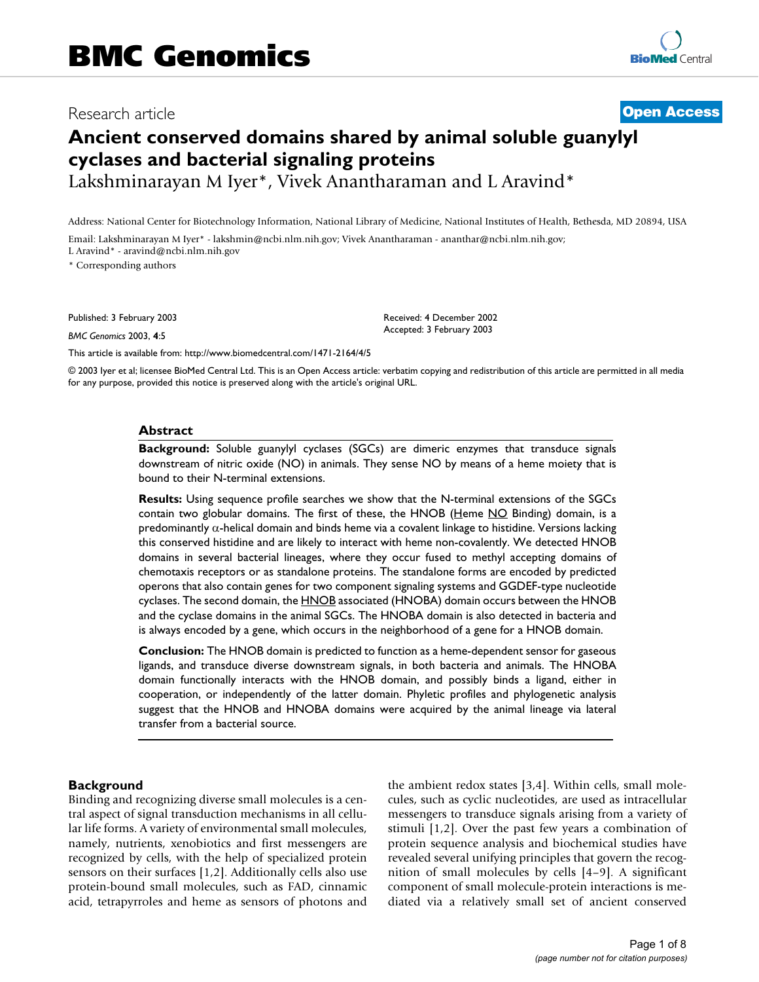# Research article **[Open Access](http://www.biomedcentral.com/info/about/charter/)**

# **Ancient conserved domains shared by animal soluble guanylyl cyclases and bacterial signaling proteins**

Lakshminarayan M Iyer\*, Vivek Anantharaman and L Aravind\*

Address: National Center for Biotechnology Information, National Library of Medicine, National Institutes of Health, Bethesda, MD 20894, USA

Email: Lakshminarayan M Iyer\* - lakshmin@ncbi.nlm.nih.gov; Vivek Anantharaman - ananthar@ncbi.nlm.nih.gov;

L Aravind\* - aravind@ncbi.nlm.nih.gov

\* Corresponding authors

Published: 3 February 2003

*BMC Genomics* 2003, **4**:5

[This article is available from: http://www.biomedcentral.com/1471-2164/4/5](http://www.biomedcentral.com/1471-2164/4/5)

© 2003 Iyer et al; licensee BioMed Central Ltd. This is an Open Access article: verbatim copying and redistribution of this article are permitted in all media for any purpose, provided this notice is preserved along with the article's original URL.

Received: 4 December 2002 Accepted: 3 February 2003

#### **Abstract**

**Background:** Soluble guanylyl cyclases (SGCs) are dimeric enzymes that transduce signals downstream of nitric oxide (NO) in animals. They sense NO by means of a heme moiety that is bound to their N-terminal extensions.

**Results:** Using sequence profile searches we show that the N-terminal extensions of the SGCs contain two globular domains. The first of these, the HNOB (Heme NO Binding) domain, is a predominantly  $\alpha$ -helical domain and binds heme via a covalent linkage to histidine. Versions lacking this conserved histidine and are likely to interact with heme non-covalently. We detected HNOB domains in several bacterial lineages, where they occur fused to methyl accepting domains of chemotaxis receptors or as standalone proteins. The standalone forms are encoded by predicted operons that also contain genes for two component signaling systems and GGDEF-type nucleotide cyclases. The second domain, the **HNOB** associated (HNOBA) domain occurs between the HNOB and the cyclase domains in the animal SGCs. The HNOBA domain is also detected in bacteria and is always encoded by a gene, which occurs in the neighborhood of a gene for a HNOB domain.

**Conclusion:** The HNOB domain is predicted to function as a heme-dependent sensor for gaseous ligands, and transduce diverse downstream signals, in both bacteria and animals. The HNOBA domain functionally interacts with the HNOB domain, and possibly binds a ligand, either in cooperation, or independently of the latter domain. Phyletic profiles and phylogenetic analysis suggest that the HNOB and HNOBA domains were acquired by the animal lineage via lateral transfer from a bacterial source.

#### **Background**

Binding and recognizing diverse small molecules is a central aspect of signal transduction mechanisms in all cellular life forms. A variety of environmental small molecules, namely, nutrients, xenobiotics and first messengers are recognized by cells, with the help of specialized protein sensors on their surfaces [1,2]. Additionally cells also use protein-bound small molecules, such as FAD, cinnamic acid, tetrapyrroles and heme as sensors of photons and the ambient redox states [3,4]. Within cells, small molecules, such as cyclic nucleotides, are used as intracellular messengers to transduce signals arising from a variety of stimuli [1,2]. Over the past few years a combination of protein sequence analysis and biochemical studies have revealed several unifying principles that govern the recognition of small molecules by cells [4–9]. A significant component of small molecule-protein interactions is mediated via a relatively small set of ancient conserved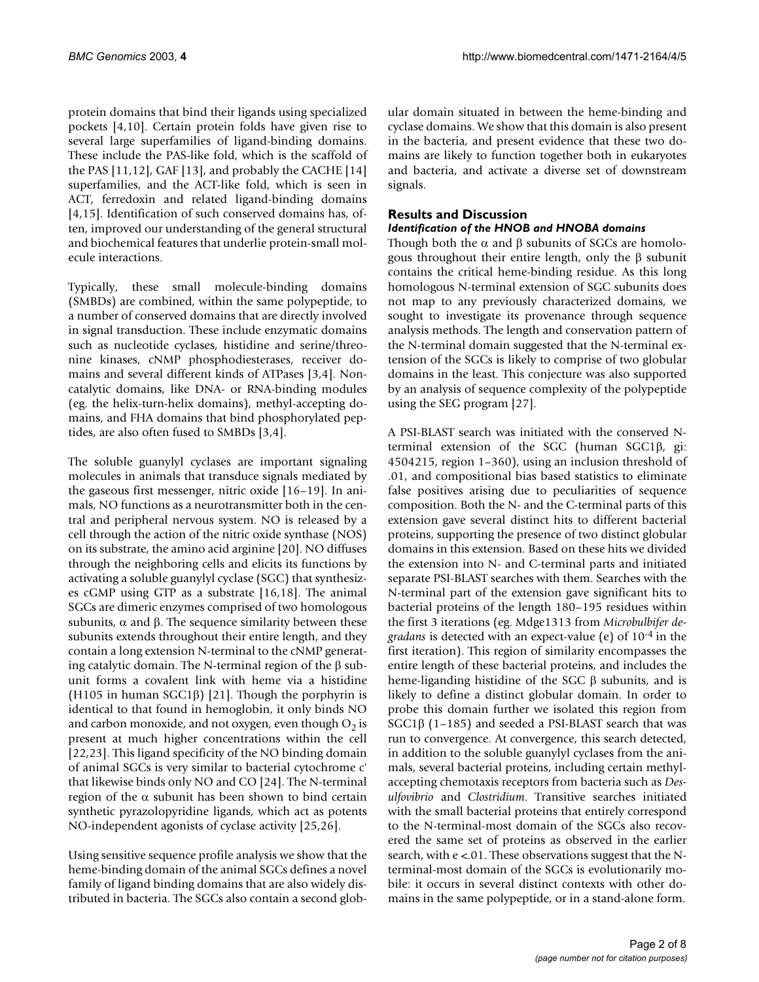protein domains that bind their ligands using specialized pockets [4,10]. Certain protein folds have given rise to several large superfamilies of ligand-binding domains. These include the PAS-like fold, which is the scaffold of the PAS [11,12], GAF [13], and probably the CACHE [14] superfamilies, and the ACT-like fold, which is seen in ACT, ferredoxin and related ligand-binding domains [4,15]. Identification of such conserved domains has, often, improved our understanding of the general structural and biochemical features that underlie protein-small molecule interactions.

Typically, these small molecule-binding domains (SMBDs) are combined, within the same polypeptide, to a number of conserved domains that are directly involved in signal transduction. These include enzymatic domains such as nucleotide cyclases, histidine and serine/threonine kinases, cNMP phosphodiesterases, receiver domains and several different kinds of ATPases [3,4]. Noncatalytic domains, like DNA- or RNA-binding modules (eg. the helix-turn-helix domains), methyl-accepting domains, and FHA domains that bind phosphorylated peptides, are also often fused to SMBDs [3,4].

The soluble guanylyl cyclases are important signaling molecules in animals that transduce signals mediated by the gaseous first messenger, nitric oxide [16–19]. In animals, NO functions as a neurotransmitter both in the central and peripheral nervous system. NO is released by a cell through the action of the nitric oxide synthase (NOS) on its substrate, the amino acid arginine [20]. NO diffuses through the neighboring cells and elicits its functions by activating a soluble guanylyl cyclase (SGC) that synthesizes cGMP using GTP as a substrate [16,18]. The animal SGCs are dimeric enzymes comprised of two homologous subunits,  $\alpha$  and  $\beta$ . The sequence similarity between these subunits extends throughout their entire length, and they contain a long extension N-terminal to the cNMP generating catalytic domain. The N-terminal region of the β subunit forms a covalent link with heme via a histidine (H105 in human SGC1β) [21]. Though the porphyrin is identical to that found in hemoglobin, it only binds NO and carbon monoxide, and not oxygen, even though  $O_2$  is present at much higher concentrations within the cell [22,23]. This ligand specificity of the NO binding domain of animal SGCs is very similar to bacterial cytochrome c' that likewise binds only NO and CO [24]. The N-terminal region of the α subunit has been shown to bind certain synthetic pyrazolopyridine ligands, which act as potents NO-independent agonists of cyclase activity [25,26].

Using sensitive sequence profile analysis we show that the heme-binding domain of the animal SGCs defines a novel family of ligand binding domains that are also widely distributed in bacteria. The SGCs also contain a second globular domain situated in between the heme-binding and cyclase domains. We show that this domain is also present in the bacteria, and present evidence that these two domains are likely to function together both in eukaryotes and bacteria, and activate a diverse set of downstream signals.

# **Results and Discussion**

# *Identification of the HNOB and HNOBA domains*

Though both the  $\alpha$  and  $\beta$  subunits of SGCs are homologous throughout their entire length, only the β subunit contains the critical heme-binding residue. As this long homologous N-terminal extension of SGC subunits does not map to any previously characterized domains, we sought to investigate its provenance through sequence analysis methods. The length and conservation pattern of the N-terminal domain suggested that the N-terminal extension of the SGCs is likely to comprise of two globular domains in the least. This conjecture was also supported by an analysis of sequence complexity of the polypeptide using the SEG program [27].

A PSI-BLAST search was initiated with the conserved Nterminal extension of the SGC (human SGC1β, gi: 4504215, region 1–360), using an inclusion threshold of .01, and compositional bias based statistics to eliminate false positives arising due to peculiarities of sequence composition. Both the N- and the C-terminal parts of this extension gave several distinct hits to different bacterial proteins, supporting the presence of two distinct globular domains in this extension. Based on these hits we divided the extension into N- and C-terminal parts and initiated separate PSI-BLAST searches with them. Searches with the N-terminal part of the extension gave significant hits to bacterial proteins of the length 180–195 residues within the first 3 iterations (eg. Mdge1313 from *Microbulbifer degradans* is detected with an expect-value (e) of 10-4 in the first iteration). This region of similarity encompasses the entire length of these bacterial proteins, and includes the heme-liganding histidine of the SGC  $β$  subunits, and is likely to define a distinct globular domain. In order to probe this domain further we isolated this region from SGC1 $\beta$  (1–185) and seeded a PSI-BLAST search that was run to convergence. At convergence, this search detected, in addition to the soluble guanylyl cyclases from the animals, several bacterial proteins, including certain methylaccepting chemotaxis receptors from bacteria such as *Desulfovibrio* and *Clostridium*. Transitive searches initiated with the small bacterial proteins that entirely correspond to the N-terminal-most domain of the SGCs also recovered the same set of proteins as observed in the earlier search, with e <.01. These observations suggest that the Nterminal-most domain of the SGCs is evolutionarily mobile: it occurs in several distinct contexts with other domains in the same polypeptide, or in a stand-alone form.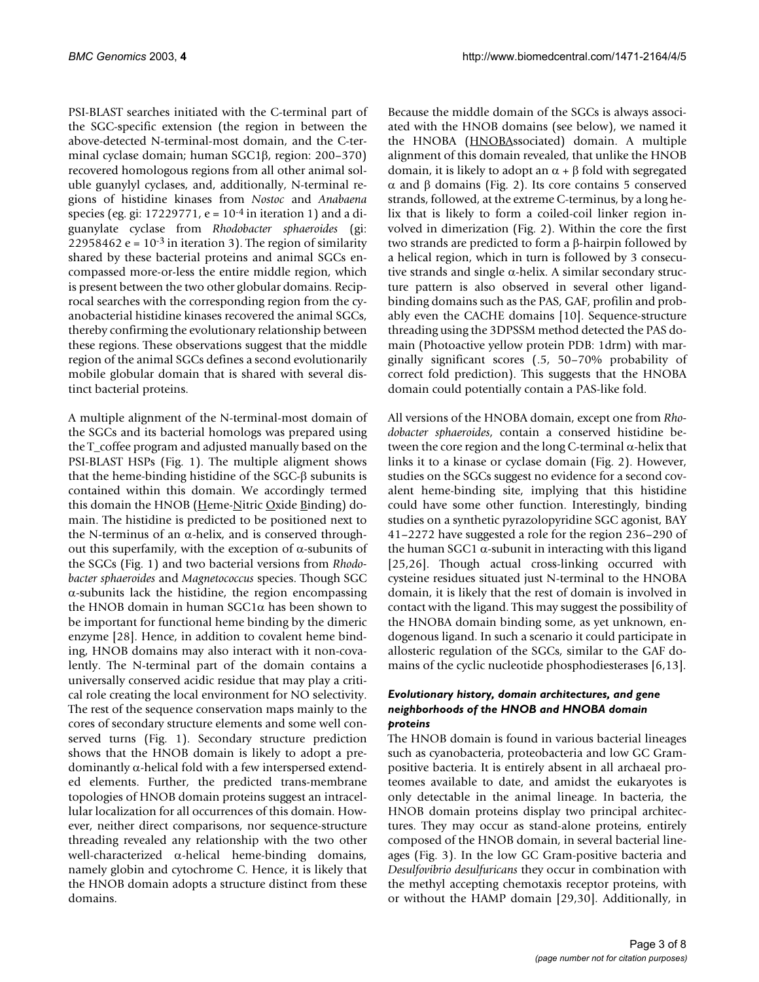PSI-BLAST searches initiated with the C-terminal part of the SGC-specific extension (the region in between the above-detected N-terminal-most domain, and the C-terminal cyclase domain; human SGC1β, region: 200–370) recovered homologous regions from all other animal soluble guanylyl cyclases, and, additionally, N-terminal regions of histidine kinases from *Nostoc* and *Anabaena* species (eg. gi: 17229771,  $e = 10^{-4}$  in iteration 1) and a diguanylate cyclase from *Rhodobacter sphaeroides* (gi: 22958462  $e = 10^{-3}$  in iteration 3). The region of similarity shared by these bacterial proteins and animal SGCs encompassed more-or-less the entire middle region, which is present between the two other globular domains. Reciprocal searches with the corresponding region from the cyanobacterial histidine kinases recovered the animal SGCs, thereby confirming the evolutionary relationship between these regions. These observations suggest that the middle region of the animal SGCs defines a second evolutionarily mobile globular domain that is shared with several distinct bacterial proteins.

A multiple alignment of the N-terminal-most domain of the SGCs and its bacterial homologs was prepared using the T\_coffee program and adjusted manually based on the PSI-BLAST HSPs (Fig. [1\)](#page-3-0). The multiple aligment shows that the heme-binding histidine of the SGC-β subunits is contained within this domain. We accordingly termed this domain the HNOB (Heme-Nitric Oxide Binding) domain. The histidine is predicted to be positioned next to the N-terminus of an α-helix, and is conserved throughout this superfamily, with the exception of α-subunits of the SGCs (Fig. [1](#page-3-0)) and two bacterial versions from *Rhodobacter sphaeroides* and *Magnetococcus* species. Though SGC  $\alpha$ -subunits lack the histidine, the region encompassing the HNOB domain in human  $SGC1α$  has been shown to be important for functional heme binding by the dimeric enzyme [28]. Hence, in addition to covalent heme binding, HNOB domains may also interact with it non-covalently. The N-terminal part of the domain contains a universally conserved acidic residue that may play a critical role creating the local environment for NO selectivity. The rest of the sequence conservation maps mainly to the cores of secondary structure elements and some well conserved turns (Fig. [1](#page-3-0)). Secondary structure prediction shows that the HNOB domain is likely to adopt a predominantly  $\alpha$ -helical fold with a few interspersed extended elements. Further, the predicted trans-membrane topologies of HNOB domain proteins suggest an intracellular localization for all occurrences of this domain. However, neither direct comparisons, nor sequence-structure threading revealed any relationship with the two other well-characterized α-helical heme-binding domains, namely globin and cytochrome C. Hence, it is likely that the HNOB domain adopts a structure distinct from these domains.

Because the middle domain of the SGCs is always associated with the HNOB domains (see below), we named it the HNOBA (HNOBAssociated) domain. A multiple alignment of this domain revealed, that unlike the HNOB domain, it is likely to adopt an  $\alpha + \beta$  fold with segregated α and β domains (Fig. [2](#page-4-0)). Its core contains 5 conserved strands, followed, at the extreme C-terminus, by a long helix that is likely to form a coiled-coil linker region involved in dimerization (Fig. [2](#page-4-0)). Within the core the first two strands are predicted to form a β-hairpin followed by a helical region, which in turn is followed by 3 consecutive strands and single  $\alpha$ -helix. A similar secondary structure pattern is also observed in several other ligandbinding domains such as the PAS, GAF, profilin and probably even the CACHE domains [10]. Sequence-structure threading using the 3DPSSM method detected the PAS domain (Photoactive yellow protein PDB: 1drm) with marginally significant scores (.5, 50–70% probability of correct fold prediction). This suggests that the HNOBA domain could potentially contain a PAS-like fold.

All versions of the HNOBA domain, except one from *Rhodobacter sphaeroides*, contain a conserved histidine between the core region and the long C-terminal α-helix that links it to a kinase or cyclase domain (Fig. [2](#page-4-0)). However, studies on the SGCs suggest no evidence for a second covalent heme-binding site, implying that this histidine could have some other function. Interestingly, binding studies on a synthetic pyrazolopyridine SGC agonist, BAY 41–2272 have suggested a role for the region 236–290 of the human SGC1  $\alpha$ -subunit in interacting with this ligand [25,26]. Though actual cross-linking occurred with cysteine residues situated just N-terminal to the HNOBA domain, it is likely that the rest of domain is involved in contact with the ligand. This may suggest the possibility of the HNOBA domain binding some, as yet unknown, endogenous ligand. In such a scenario it could participate in allosteric regulation of the SGCs, similar to the GAF domains of the cyclic nucleotide phosphodiesterases [6,13].

#### *Evolutionary history, domain architectures, and gene neighborhoods of the HNOB and HNOBA domain proteins*

The HNOB domain is found in various bacterial lineages such as cyanobacteria, proteobacteria and low GC Grampositive bacteria. It is entirely absent in all archaeal proteomes available to date, and amidst the eukaryotes is only detectable in the animal lineage. In bacteria, the HNOB domain proteins display two principal architectures. They may occur as stand-alone proteins, entirely composed of the HNOB domain, in several bacterial lineages (Fig. 3). In the low GC Gram-positive bacteria and *Desulfovibrio desulfuricans* they occur in combination with the methyl accepting chemotaxis receptor proteins, with or without the HAMP domain [29,30]. Additionally, in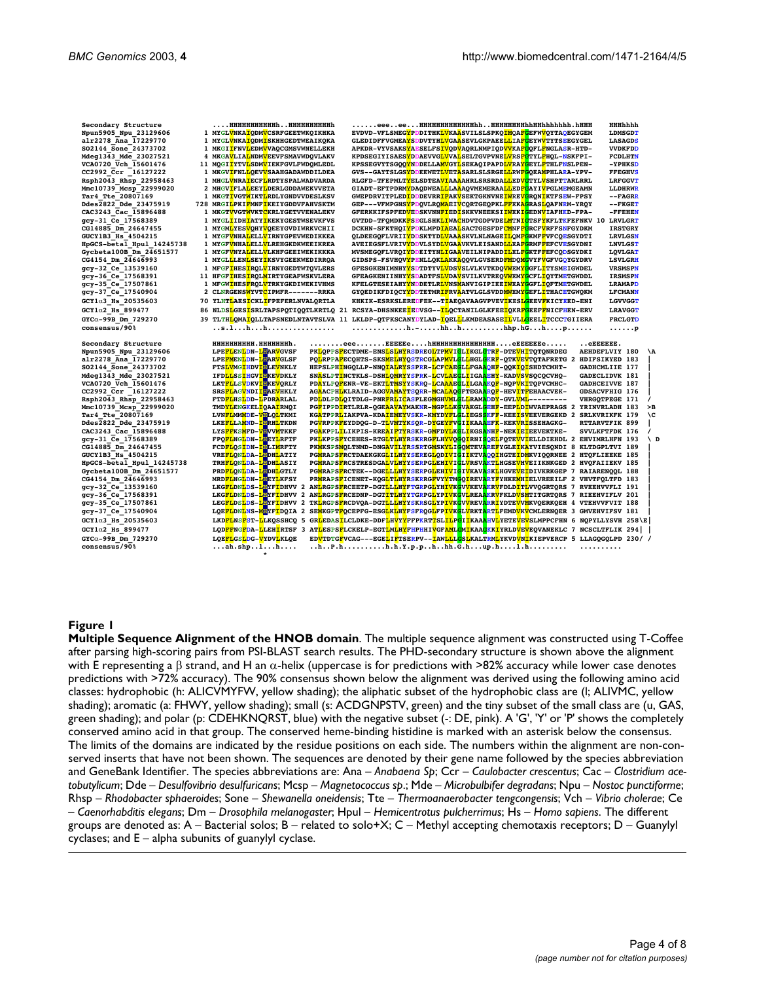<span id="page-3-0"></span>

| <b>Npun5905 Npu 23129606</b><br>1 MYGL <mark>V</mark> NKA <mark>I</mark> QDM <mark>V</mark> CSRFGEETWKQIKHKA<br>EVDVD-VFLSMEG <mark>YPDDITHKLVKAA</mark> SVILSLSPKO <mark>IM</mark> QA <mark>FG</mark> EFW <mark>V</mark> QYTAQEGYGEM<br>alr2278 Ana 17229770<br>1 MYGL <mark>V</mark> NKA <mark>IQDMI</mark> SKHHGEDTWEAIKQKA<br>GLEDIDFFVGMEA <mark>YSDDVTYHLVGAA</mark> SEVLGKPAEE <mark>LL</mark> IA <mark>FG</mark> EYW <mark>V</mark> TYTSEEGYGEL<br>SO2144 Sone 24373702<br>1 MKGI <mark>I</mark> FNV <mark>L</mark> EDM <mark>V</mark> VAQCGMSVWNELLEKH<br>APKDR-VYVSAKS <mark>Y</mark> AESELFS <mark>IVODV</mark> AQRLNMPIQD <mark>VV</mark> KAFGQFL <mark>F</mark> NGLASR-HTD-<br>Mdeg1343 Mde 23027521<br>4 MKGA <mark>V</mark> LIA <mark>L</mark> NDM <mark>V</mark> EEVFSMAVWDQVLAKV<br>KPDSEGIYISAES <mark>Y</mark> DDAEVVG <mark>LV</mark> VA <mark>L</mark> SELTGVPVNE <mark>LVRSF</mark> GTYL <mark>F</mark> HQL-NSKFPI-<br>VCA0720 Vch 15601476<br>11 MOGITYTVLSDMVIEKFGVLFWDOMLEDL<br>KPSSEGVYTSGOO <mark>Y</mark> NDDELLA <mark>MV</mark> GY <mark>L</mark> SEKAQIPAPD <mark>LVRAYG</mark> EYL <mark>F</mark> THLFNSLPEN-<br>CC2992 Ccr 16127222<br>1 MKGV <mark>I</mark> FNL <mark>L</mark> QEVVSAAHGADAWDDILDEA<br>GVS--GAYTSLGS <mark>Y</mark> DDEEWET <mark>LVETA</mark> SARLSLSRGE <mark>LL</mark> RWF <mark>G</mark> QEAMPHLARA-YPV-<br>Rsph2043 Rhsp 22958463<br>1 MHGL <mark>V</mark> NRA <mark>I</mark> ECF <mark>L</mark> RDTYSPALWADVARDA<br>RLGFD-TFEPMLT <mark>Y</mark> ELSDTEA <mark>VI</mark> AAAHRLSRSRDA <mark>LL</mark> ED <mark>VG</mark> TYL <mark>V</mark> SHPTTARLRRL<br><b>Mmc10739 Mcsp 22999020</b><br>GIADT-EFTPDRM <mark>Y</mark> DAQDWEA <mark>LL</mark> LA <mark>A</mark> AQVMEMERAA <mark>LL</mark> ED <mark>FG</mark> AYI <mark>V</mark> PGLMEMGEAMN<br>2 MHGVIFLALEEYLDERLGDDAWEKVVETA<br><b>Tar4 Tte 20807169</b><br>1 MKGT <mark>I</mark> VGTWIKTLRDLYGNDVVDESLKSV<br>GWEPDRVITPLED <mark>ID</mark> DDEVRR <mark>IF</mark> AK <mark>V</mark> SEKTGKNVNE <mark>IW</mark> REV <mark>G</mark> RONIKTFSEW-FPSY<br><b>Ddes2822 Dde 23475919</b><br>728 MRGI <mark>L</mark> PKI <mark>F</mark> MNF <mark>I</mark> KEIYGDDVFAHVSKTM<br>GEP---VFMPGNS <mark>Y</mark> PDQVLRQ <mark>MA</mark> EI <mark>V</mark> CQRTGEQPKL <mark>FF</mark> EKAGRAS <mark>L</mark> QAFNRM-YRQY<br>CAC3243 Cac 15896488<br>GFERKKIFSPFED <mark>V</mark> EDSKVNN <mark>FI</mark> ED <mark>I</mark> SKKVNEEKSI <mark>IW</mark> EK <mark>IG</mark> EDN <mark>V</mark> IAFHKD-FPA-<br><b>1 MKGT<mark>V</mark>VGT<mark>W</mark>VKTCKRLYGETVVENALEKV</b><br>qcy-31 Ce 17568389<br>1 MYGL <mark>I</mark> IDH <mark>IATYI</mark> KEKYGESTWSEVKFVS<br>CG14885 Dm 24647455<br>DCKHN-SFKTHQI <mark>Y</mark> PDKLMPD <mark>IA</mark> EA <mark>L</mark> SACTGESFDF <mark>CM</mark> NF <mark>FG</mark> RCF <mark>V</mark> RFFSNFGYDKM<br>1 MYGM <mark>L</mark> YES <mark>V</mark> QHY <mark>V</mark> QEEYGVDIWRKVCHII<br>GUCY1B3 Hs 4504215<br>QLDEEGQFLVRII <mark>Y</mark> DDSKTYD <mark>LVAAA</mark> SKVLNLNAGE <mark>IL</mark> QMFGKMFFVFCQESGYDTI<br>1 MYGF <mark>V</mark> NHA <mark>L</mark> ELL <mark>V</mark> IRNYGPEVWEDIKKEA<br>$HpgCS-beta1$ Hpul 14245738<br>AVEIEGSFLVRIVYDDVLSYDLVGAAVKVLEISANDLLEAFGRMFFEFCVESGYDNI<br>1 MYGFVNHALELLVLREHGKDKWEEIKREA<br>Gycbeta100B Dm 24651577<br>1 MYGFVNYALELLVLKHFGEEIWEKIKKKA<br>MVSMEGOFLVROI <mark>Y</mark> DDEITYN <mark>LI</mark> GA <mark>A</mark> VEILNIPADD <mark>IL</mark> EL <mark>FG</mark> KTF <mark>F</mark> EFCODSGYDKI<br>CG4154 Dm 24646993<br>GIDSPS-FSVHQV <mark>Y</mark> PENLLQK <mark>LA</mark> KK <mark>A</mark> QQVLGVSERD <mark>FM</mark> DQ <mark>MG</mark> VYF <mark>V</mark> GFVGQYGYDRV<br>1 MYGL <mark>L</mark> LENLSEY <mark>I</mark> KSVYGEEKWEDIRRQA<br>gcy-32 Ce 13539160<br>GFESGKENIMNHY <mark>Y</mark> SDTDTYV <mark>LV</mark> DS <mark>V</mark> SLVLKVTKDQ <mark>VWEMYG</mark> GFL <mark>I</mark> TYSMEIGWDEL<br>1 MFGF <mark>I</mark> HES <mark>IRQLV</mark> IRNYGEDTWTQVLERS<br>GFEAGKENIINHY <mark>Y</mark> SDADTFS <mark>LV</mark> DA <mark>V</mark> SVILKVTREQ <mark>VWEMYG</mark> CFL <mark>I</mark> QYTMETGWDDL<br>qcy-36 Ce 17568391<br>11 HFGF <mark>I</mark> HES <mark>IRQLM</mark> IRTYGEAFWSKVLERA<br>qcy-35 Ce 17507861<br>1 MFGW <mark>I</mark> HES <mark>F</mark> RQL <mark>V</mark> TRKYGKDIWEKIVHMS<br>KFELGTESEIAHY <mark>YNDDETLR<mark>LV</mark>NSMANVIGIPIEE<mark>IW</mark>EAY<mark>G</mark>GFL<mark>I</mark>QFTMETGWDEL</mark><br>gcy-37 Ce 17540904<br>2 CLNRGENSWYVTCIPMFR-------RRKA<br>GYQEDIKFDIQCY <mark>YDDTETMRIFRVA</mark> ATVLGLSVDD <mark>MWEMYG</mark> EFL <mark>I</mark> THACETGWQKM<br>$\texttt{GCY1}\alpha3$ Hs 20535603<br>70 YLHT <mark>L</mark> AESICKLIFPEFERLNVALORTLA<br>KHKIK-ESRKSLEREDFEK--T <mark>I</mark> AEQAVAAGVPVEV <mark>I</mark> KES <mark>LG</mark> EEV <mark>F</mark> KICYEED-ENI<br>$GCY102$ Hs 899477<br>86 NLD <mark>SL</mark> GES <mark>I</mark> SRLTAPSPOTIOOTLKRTLO 21 RCSYA-DHSNKEE <mark>IEDVSG--ILO</mark> CTANILGLKFEE <mark>I</mark> OKR <mark>FG</mark> EEF <mark>F</mark> NICFHEN-ERV<br>GYCα-99B Dm 729270<br>39 TLTH <mark>LOMAIO</mark> LLTAPSNEDLNTAVTSLVA 11 LKLDP-QTFKSCANYDYLAD- <mark>IO</mark> EL <mark>L</mark> LKMDEASASE <mark>IL</mark> VL <mark>LG</mark> EEL <mark>I</mark> TCCCTGIIERA<br>consensus/90%<br>$\ldots \ldots \ldots \ldots$ .h.- $\ldots \ldots$ .hhh $\ldots \ldots \ldots$ .hhp.hGhp<br><b>НННННННННН. НННННННННПП</b><br>$\dots\dots$ eee $\dots$ EEEEEehHHHHHHHHHHHHHHHeEEEEEEe<br>Secondary Structure<br>$\ldots$ eEEEEEE.<br>PK <mark>L</mark> QPPS <mark>F</mark> ECTDME-ENS <mark>LSLHYRSDREGL</mark> TP <mark>MVIGLTKGLGTRF</mark> -DTE <mark>VHI</mark> TQTQNRDEG<br>Npun5905 Npu 23129606<br>LPEFLENLDN-LEARVGVSF<br>LPE <mark>FMENL</mark> DN- <mark>L</mark> HARVGLSF<br>PO <mark>L</mark> RPPA <mark>F</mark> ECOHTS-SKS <mark>MELHYOSTRCGLAPMVLGLL</mark> HGL <mark>G</mark> KRF-OTKVEVTOTAFRETG 2 HDIFSIKYED 183<br>alr2278 Ana 17229770<br>FTS <mark>LV</mark> MG <mark>I</mark> HDV <mark>IH</mark> LE <mark>V</mark> NKLY<br>HEPSLPH <mark>I</mark> NGQLLP-NNQ <mark>IALRY</mark> SSPRR- <mark>L</mark> CF <mark>CAEGLL</mark> FGA <mark>AQHF-QQKIQI</mark> SHDTCMHT-<br>S02144 Sone 24373702<br>IFD <mark>LL</mark> SS <mark>IHGVIH</mark> KEVDKLY<br>LKT <mark>FL</mark> LSVDKVIHKEVQRLY<br>SN <mark>A</mark> SLPT <mark>I</mark> NCTKLS-DSH <mark>LOMRY</mark> YSPRK- <mark>L</mark> CV <mark>LAEGLI</mark> IGA <mark>AEHY</mark> -KAD <mark>VSV</mark> SQCQCVHQ-<br>Mdeg1343 Mde 23027521<br>VCA0720 Vch 15601476<br>PD <mark>A</mark> YLPOFENR-VE-EKT <mark>LTMSY</mark> YSKRQ- <mark>L</mark> CA <mark>AAEGLT</mark> LGA <mark>A</mark> KOF-NOPVKITOPVCMHC-<br>AG <mark>A</mark> ACPH <mark>L</mark> KLRAID-AGG <mark>VAMAYTSQRR-MCALAQG</mark> FTEGA <mark>ARQF</mark> -HEV <mark>ITF</mark> EHAACVEK-<br>CC2992 Ccr 16127222<br>SRS <mark>FL</mark> AGVNDI <mark>I</mark> HAEVHKLY<br>Rsph2043 Rhsp 22958463<br>PD <mark>L</mark> DLPD <mark>L</mark> QITDLG-PNR <mark>FRLIC</mark> ASPLEGMGHVMLGL <mark>L</mark> RAMADDY-GVLVML---------<br>FTD <mark>FL</mark> HS <mark>L</mark> DD- <mark>L</mark> PDR <mark>A</mark> RLAL<br>PG <mark>F</mark> IPPD <mark>I</mark> RTLRLR-QGE <mark>AAVAYMAKNR-MGPLLKGVAKGLGEHF-EEPLDI</mark> WVAEPRAGS 2 YRINVRLADH 183<br>Mmc10739 Mcsp 22999020<br>TMDYLENGKEL <mark>IQAAI</mark> RMQI<br><b>Tar4 Tte 20807169</b><br>LVN <mark>FL</mark> MM <mark>M</mark> DE-V <mark>H</mark> LQ <mark>L</mark> TKMI<br>LKE <mark>FL</mark> LAMND-THRHLTKDN<br>KG <mark>A</mark> TPPR <mark>L</mark> IAKPVA-KDA <mark>IEMEY</mark> VSKR-KMYDYFLGL <mark>I</mark> EGSSKFF-KEE <mark>ISV</mark> EEVERGEKD 2 SRLKVRIKFK 179<br><b>Ddes2822 Dde 23475919</b><br>PG <mark>V</mark> RPPK <mark>F</mark> EYDDQG-D-T <mark>LVMTYKSQR-DYGEYFVGIIKAA</mark> EF <mark>K</mark> -KEK <mark>VRI</mark> SSEHAGKG-<br>LYSFFKSMFD-V <mark>H</mark> VVMTKKF<br>CAC3243 Cac 15896488<br>PG <mark>A</mark> KPPL <mark>I</mark> LIKPIS-KRE <mark>AIFTYRSKR-GMFDYLKGLI</mark> KGS <mark>A</mark> NH <mark>F</mark> -NEK <mark>IEI</mark> EEVEKTKE-<br>FPQ <mark>FL</mark> NG <mark>L</mark> DN- <mark>LF</mark> EY <mark>L</mark> RFTF<br>FCD <mark>FLQSIDN-IH</mark> LIMRFTY<br>PK <mark>L</mark> KPPSFYCEHES-RTG <mark>LTLHYRSKRRGFLHYVOGOIRNIS</mark> OELFOTEVVIELLDIEHDL 2 EHVIMRLHFN 193<br>qcy-31 Ce 17568389<br>PK <mark>M</mark> KSPSMQLTNMD-DNG <mark>AVILY</mark> RSSRTG <mark>MSKYLIGQMTEVA</mark> REFYGLEIKAYVIESQNDI 8 KLTDGPLTVI 189<br>CG14885 Dm 24647455<br>VRE <mark>FL</mark> QN <mark>L</mark> DA- <mark>LH</mark> DHLATIY<br>PG <mark>MRAPSF</mark> RCTDAEKGKG <mark>LILHYYSEREGLODIVIGIIKTVAOOI</mark> HGTE <mark>IDM</mark> KVIOORNEE 2 HTOFLIEEKE 185<br><b>GUCY1B3 Hs 4504215</b><br>PG <mark>MRAPSF</mark> RCSTRESDGA <mark>LVLHY</mark> YSERPG <mark>LEHIVIGLVRSVA</mark> KT <mark>L</mark> HGSE <mark>VHV</mark> EIIKNKGED 2 HVQFAIIEKV 185<br>HpGCS-betal Hpul 14245738<br>TRH <mark>FL</mark> QN <mark>L</mark> DA- <mark>LH</mark> DH <mark>L</mark> ASIY<br>PRD <mark>FLONL</mark> DA-L <mark>H</mark> DHLGTLY<br>PG <mark>MRAPSF</mark> RCTEK--DGE <mark>LLLHY</mark> YSERPG <mark>LEHIVIGIVKAVA</mark> SK <mark>L</mark> HGVE <mark>VEI</mark> DIVKRKGEP 7 RAIARENQOL 188<br>Gycbeta100B Dm 24651577<br>MRD <mark>FL</mark> NG <mark>L</mark> DN- <mark>LE</mark> EY <mark>L</mark> KFSY<br>PR <mark>MRAPSF</mark> ICENET-KOG <mark>LTLHYRSKRRGFVYYTMGOIREVA</mark> RYFYHKEMHIELVREEILF 2 VHVTFOLTFD 183<br>CG4154 Dm 24646993<br>LKG <mark>FLDNL</mark> DS- <mark>LH</mark> YF <mark>I</mark> DHVV 2 ANLRGPSFRCEETP-DGT <mark>LLLHYFTGRPGLYHIVKGVV</mark> KEVAKRVFDLDITLVVQGRTQRS 7 RVEEHVVFLI 191<br>gcy-32 Ce 13539160<br>LKGFLDNLDS-LEYFIDHVV<br>$\overline{2}$<br>AN <mark>L</mark> RGPSFRCEDNP-DGT <mark>ITLHY</mark> YTGRPG <mark>L</mark> YP <mark>IVKGVL</mark> REA <mark>AKRV</mark> FKLD <mark>VSM</mark> TITGRTQRS 7 RIEEHVIFLV 201<br>qcy-36 Ce 17568391<br>LEGFLDSLDS-LEYFIDHVV<br>2 TK <mark>L</mark> RGPS <mark>F</mark> RCDVOA-DGT <mark>LLLHY</mark> YSKRSG <mark>L</mark> YP <mark>IVKGVV</mark> REV <mark>A</mark> RR <mark>I</mark> YDTE <mark>VVM</mark> KVOERKOEH 4 VTEHVVFVIT 188<br>gcy-35 Ce 17507861<br>LQE <mark>FLDNLNS-MHYFIDQ</mark> IA 2 SE <mark>M</mark> KGPT <mark>F</mark> QCEPFG-ESG <mark>LKLHY</mark> FSFRQGLFP <mark>IVKGLV</mark> RKT <mark>A</mark> RTLFEMDVKVCMLERNQER 3 GMVEHVIFSV 181<br>gcy-37 Ce 17540904<br>LKDFLNSFST-LLKOSSHCO 5 GRLEDASILCLDKE-DDFLHVYYFFPKRTTSLILPGIIKAAAHVLYETEVEVSLMPPCFHN 6 NOPYLLYSVH 258\E<br>$\texttt{GCV1}\alpha3$ Hs 20535603<br>LQD <mark>FF</mark> NG <mark>F</mark> DA- <mark>L</mark> LEH <mark>I</mark> RTSF 3 AT <mark>L</mark> ESPS <mark>F</mark> LCKELP-EGT <mark>LMLHY</mark> FHPHHIVGF <mark>AMLGMI</mark> KAA <mark>G</mark> KK <mark>I</mark> YRLD <mark>VEV</mark> EQVANEKLC 7 NCSCLTFLIK 294 <br>$GCY102$ Hs 899477<br>ED <mark>V</mark> TDTGFVCAG---EGE <mark>LIF</mark> TSERPV-- <mark>IAWLLLGSL</mark> KALTRM <mark>L</mark> YKVD <mark>VNI</mark> KIEPVERCP 5 LLAGQGQLPD 230/ /<br>GYCα-99B Dm 729270<br>LQE <mark>FL</mark> GS <mark>LDG-V</mark> YDV <mark>L</mark> KLQE | Secondary Structure | $\ldots$ . HHHHHHHHHHHHh. . HHHHHHHHHHh | $\ldots \ldots$ eee $\ldots$ ee $\ldots$ HHHHHHHHHHHHHHhhHHHHHHHHhhHHhhhhhhh.hHHH<br><b>HHHhhhh</b>                                                            |       |
|--------------------------------------------------------------------------------------------------------------------------------------------------------------------------------------------------------------------------------------------------------------------------------------------------------------------------------------------------------------------------------------------------------------------------------------------------------------------------------------------------------------------------------------------------------------------------------------------------------------------------------------------------------------------------------------------------------------------------------------------------------------------------------------------------------------------------------------------------------------------------------------------------------------------------------------------------------------------------------------------------------------------------------------------------------------------------------------------------------------------------------------------------------------------------------------------------------------------------------------------------------------------------------------------------------------------------------------------------------------------------------------------------------------------------------------------------------------------------------------------------------------------------------------------------------------------------------------------------------------------------------------------------------------------------------------------------------------------------------------------------------------------------------------------------------------------------------------------------------------------------------------------------------------------------------------------------------------------------------------------------------------------------------------------------------------------------------------------------------------------------------------------------------------------------------------------------------------------------------------------------------------------------------------------------------------------------------------------------------------------------------------------------------------------------------------------------------------------------------------------------------------------------------------------------------------------------------------------------------------------------------------------------------------------------------------------------------------------------------------------------------------------------------------------------------------------------------------------------------------------------------------------------------------------------------------------------------------------------------------------------------------------------------------------------------------------------------------------------------------------------------------------------------------------------------------------------------------------------------------------------------------------------------------------------------------------------------------------------------------------------------------------------------------------------------------------------------------------------------------------------------------------------------------------------------------------------------------------------------------------------------------------------------------------------------------------------------------------------------------------------------------------------------------------------------------------------------------------------------------------------------------------------------------------------------------------------------------------------------------------------------------------------------------------------------------------------------------------------------------------------------------------------------------------------------------------------------------------------------------------------------------------------------------------------------------------------------------------------------------------------------------------------------------------------------------------------------------------------------------------------------------------------------------------------------------------------------------------------------------------------------------------------------------------------------------------------------------------------------------------------------------------------------------------------------------------------------------------------------------------------------------------------------------------------------------------------------------------------------------------------------------------------------------------------------------------------------------------------------------------------------------------------------------------------------------------------------------------------------------------------------------------------------------------------------------------------------------------------------------------------------------------------------------------------------------------------------------------------------------------------------------------------------------------------------------------------------------------------------------------------------------------------------------------------------------------------------------------------------------------------------------------------------------------------------------------------------------------------------------------------------------------------------------------------------------------------------------------------------------------------------------------------------------------------------------------------------------------------------------------------------------------------------------------------------------------------------------------------------------------------------------------------------------------------------------------------------------------------------------------------------------------------------------------------------------------------------------------------------------------------------------------------------------------------------------------------------------------------------------------------------------------------------------------------------------------------------------------------------------------------------------------------------------------------------------------------------------------------------------------------------------------------------------------------------------------------------------------------------------------------------------------------------------------------------------------------------------------------------------------------------------------------------------------------------------------------------------------------------------------------------------------------------------------------------------------------------------------------------------------------------------------------------------------------------------------------------------------------------------------------------------------------------------------------------------------------------------------------------------------------------------------------------------------------------------------------------------------------------------------------------------------------------------------------------------------------------------------------------------------------------------------------------------------------------------------------------------------------------------------------------------------------------------------------------------------------------------------------------------------------------------------------------------------------------------------------------------------------------------------------------------------------------------------------------------------------------------------------------------------------------------------------------------------------------------------------------------------------------------------------------------------------------------------------------------------------------------------------------------------------------------------------------------------------------------------------------------------------------------------------------------------------------------------------------------------------------------------------------------------------------------------------------------------------------------------------------------------------------------------------------------------------------------------------------------------------------------------------------------------------------------------------------------------------------------------------------------------------------------------------------------------------------------------------------------------------------------------------------------------------------------------------------------------------------------------------------------------------------------------------------------------------------------------------------------------------------------------------------------------------------------------------------------------------------------------------------------------------------------------------------------------------------------------------------------------------------------------------------------------------------------------------------------------------------------------------------------------------------------------------------------------------------------------------------------------------------------------------------------------------------------------------------------------------------------------------------------------------------------------------------------------------------------------------------------------------------------------------------------------------------------------------------------------------------------------------------------------------------------------------------------------------------------------------------------------------------------------------------------------------------------------------------------------------------------------------------------------------------------------------------------------------------------------------------------------------------------------------------------------------------------------------------------------------------------------------------------------------------------------------------------------------------------------------------------------------------------------------------------------------------------------------|---------------------|-----------------------------------------|----------------------------------------------------------------------------------------------------------------------------------------------------------------|-------|
|                                                                                                                                                                                                                                                                                                                                                                                                                                                                                                                                                                                                                                                                                                                                                                                                                                                                                                                                                                                                                                                                                                                                                                                                                                                                                                                                                                                                                                                                                                                                                                                                                                                                                                                                                                                                                                                                                                                                                                                                                                                                                                                                                                                                                                                                                                                                                                                                                                                                                                                                                                                                                                                                                                                                                                                                                                                                                                                                                                                                                                                                                                                                                                                                                                                                                                                                                                                                                                                                                                                                                                                                                                                                                                                                                                                                                                                                                                                                                                                                                                                                                                                                                                                                                                                                                                                                                                                                                                                                                                                                                                                                                                                                                                                                                                                                                                                                                                                                                                                                                                                                                                                                                                                                                                                                                                                                                                                                                                                                                                                                                                                                                                                                                                                                                                                                                                                                                                                                                                                                                                                                                                                                                                                                                                                                                                                                                                                                                                                                                                                                                                                                                                                                                                                                                                                                                                                                                                                                                                                                                                                                                                                                                                                                                                                                                                                                                                                                                                                                                                                                                                                                                                                                                                                                                                                                                                                                                                                                                                                                                                                                                                                                                                                                                                                                                                                                                                                                                                                                                                                                                                                                                                                                                                                                                                                                                                                                                                                                                                                                                                                                                                                                                                                                                                                                                                                                                                                                                                                                                                                                                                                                                                                                                                                                                                                                                                                                                                                                                                                                                                                                                                                                                                                                                                                                                                                                                                                                                                                                                                                                                                                                                                                                                                                                                                                                                                                                                                                                                                                                                                                                                                                                                  |                     |                                         | <b>LDMSGDT</b>                                                                                                                                                 |       |
|                                                                                                                                                                                                                                                                                                                                                                                                                                                                                                                                                                                                                                                                                                                                                                                                                                                                                                                                                                                                                                                                                                                                                                                                                                                                                                                                                                                                                                                                                                                                                                                                                                                                                                                                                                                                                                                                                                                                                                                                                                                                                                                                                                                                                                                                                                                                                                                                                                                                                                                                                                                                                                                                                                                                                                                                                                                                                                                                                                                                                                                                                                                                                                                                                                                                                                                                                                                                                                                                                                                                                                                                                                                                                                                                                                                                                                                                                                                                                                                                                                                                                                                                                                                                                                                                                                                                                                                                                                                                                                                                                                                                                                                                                                                                                                                                                                                                                                                                                                                                                                                                                                                                                                                                                                                                                                                                                                                                                                                                                                                                                                                                                                                                                                                                                                                                                                                                                                                                                                                                                                                                                                                                                                                                                                                                                                                                                                                                                                                                                                                                                                                                                                                                                                                                                                                                                                                                                                                                                                                                                                                                                                                                                                                                                                                                                                                                                                                                                                                                                                                                                                                                                                                                                                                                                                                                                                                                                                                                                                                                                                                                                                                                                                                                                                                                                                                                                                                                                                                                                                                                                                                                                                                                                                                                                                                                                                                                                                                                                                                                                                                                                                                                                                                                                                                                                                                                                                                                                                                                                                                                                                                                                                                                                                                                                                                                                                                                                                                                                                                                                                                                                                                                                                                                                                                                                                                                                                                                                                                                                                                                                                                                                                                                                                                                                                                                                                                                                                                                                                                                                                                                                                                                                  |                     |                                         | <b>LASAGDS</b>                                                                                                                                                 |       |
|                                                                                                                                                                                                                                                                                                                                                                                                                                                                                                                                                                                                                                                                                                                                                                                                                                                                                                                                                                                                                                                                                                                                                                                                                                                                                                                                                                                                                                                                                                                                                                                                                                                                                                                                                                                                                                                                                                                                                                                                                                                                                                                                                                                                                                                                                                                                                                                                                                                                                                                                                                                                                                                                                                                                                                                                                                                                                                                                                                                                                                                                                                                                                                                                                                                                                                                                                                                                                                                                                                                                                                                                                                                                                                                                                                                                                                                                                                                                                                                                                                                                                                                                                                                                                                                                                                                                                                                                                                                                                                                                                                                                                                                                                                                                                                                                                                                                                                                                                                                                                                                                                                                                                                                                                                                                                                                                                                                                                                                                                                                                                                                                                                                                                                                                                                                                                                                                                                                                                                                                                                                                                                                                                                                                                                                                                                                                                                                                                                                                                                                                                                                                                                                                                                                                                                                                                                                                                                                                                                                                                                                                                                                                                                                                                                                                                                                                                                                                                                                                                                                                                                                                                                                                                                                                                                                                                                                                                                                                                                                                                                                                                                                                                                                                                                                                                                                                                                                                                                                                                                                                                                                                                                                                                                                                                                                                                                                                                                                                                                                                                                                                                                                                                                                                                                                                                                                                                                                                                                                                                                                                                                                                                                                                                                                                                                                                                                                                                                                                                                                                                                                                                                                                                                                                                                                                                                                                                                                                                                                                                                                                                                                                                                                                                                                                                                                                                                                                                                                                                                                                                                                                                                                                                  |                     |                                         | <b>VVDKFDD</b>                                                                                                                                                 |       |
|                                                                                                                                                                                                                                                                                                                                                                                                                                                                                                                                                                                                                                                                                                                                                                                                                                                                                                                                                                                                                                                                                                                                                                                                                                                                                                                                                                                                                                                                                                                                                                                                                                                                                                                                                                                                                                                                                                                                                                                                                                                                                                                                                                                                                                                                                                                                                                                                                                                                                                                                                                                                                                                                                                                                                                                                                                                                                                                                                                                                                                                                                                                                                                                                                                                                                                                                                                                                                                                                                                                                                                                                                                                                                                                                                                                                                                                                                                                                                                                                                                                                                                                                                                                                                                                                                                                                                                                                                                                                                                                                                                                                                                                                                                                                                                                                                                                                                                                                                                                                                                                                                                                                                                                                                                                                                                                                                                                                                                                                                                                                                                                                                                                                                                                                                                                                                                                                                                                                                                                                                                                                                                                                                                                                                                                                                                                                                                                                                                                                                                                                                                                                                                                                                                                                                                                                                                                                                                                                                                                                                                                                                                                                                                                                                                                                                                                                                                                                                                                                                                                                                                                                                                                                                                                                                                                                                                                                                                                                                                                                                                                                                                                                                                                                                                                                                                                                                                                                                                                                                                                                                                                                                                                                                                                                                                                                                                                                                                                                                                                                                                                                                                                                                                                                                                                                                                                                                                                                                                                                                                                                                                                                                                                                                                                                                                                                                                                                                                                                                                                                                                                                                                                                                                                                                                                                                                                                                                                                                                                                                                                                                                                                                                                                                                                                                                                                                                                                                                                                                                                                                                                                                                                                                  |                     |                                         | <b>FCDLHTN</b>                                                                                                                                                 |       |
|                                                                                                                                                                                                                                                                                                                                                                                                                                                                                                                                                                                                                                                                                                                                                                                                                                                                                                                                                                                                                                                                                                                                                                                                                                                                                                                                                                                                                                                                                                                                                                                                                                                                                                                                                                                                                                                                                                                                                                                                                                                                                                                                                                                                                                                                                                                                                                                                                                                                                                                                                                                                                                                                                                                                                                                                                                                                                                                                                                                                                                                                                                                                                                                                                                                                                                                                                                                                                                                                                                                                                                                                                                                                                                                                                                                                                                                                                                                                                                                                                                                                                                                                                                                                                                                                                                                                                                                                                                                                                                                                                                                                                                                                                                                                                                                                                                                                                                                                                                                                                                                                                                                                                                                                                                                                                                                                                                                                                                                                                                                                                                                                                                                                                                                                                                                                                                                                                                                                                                                                                                                                                                                                                                                                                                                                                                                                                                                                                                                                                                                                                                                                                                                                                                                                                                                                                                                                                                                                                                                                                                                                                                                                                                                                                                                                                                                                                                                                                                                                                                                                                                                                                                                                                                                                                                                                                                                                                                                                                                                                                                                                                                                                                                                                                                                                                                                                                                                                                                                                                                                                                                                                                                                                                                                                                                                                                                                                                                                                                                                                                                                                                                                                                                                                                                                                                                                                                                                                                                                                                                                                                                                                                                                                                                                                                                                                                                                                                                                                                                                                                                                                                                                                                                                                                                                                                                                                                                                                                                                                                                                                                                                                                                                                                                                                                                                                                                                                                                                                                                                                                                                                                                                                                  |                     |                                         | -YPHKSD                                                                                                                                                        |       |
|                                                                                                                                                                                                                                                                                                                                                                                                                                                                                                                                                                                                                                                                                                                                                                                                                                                                                                                                                                                                                                                                                                                                                                                                                                                                                                                                                                                                                                                                                                                                                                                                                                                                                                                                                                                                                                                                                                                                                                                                                                                                                                                                                                                                                                                                                                                                                                                                                                                                                                                                                                                                                                                                                                                                                                                                                                                                                                                                                                                                                                                                                                                                                                                                                                                                                                                                                                                                                                                                                                                                                                                                                                                                                                                                                                                                                                                                                                                                                                                                                                                                                                                                                                                                                                                                                                                                                                                                                                                                                                                                                                                                                                                                                                                                                                                                                                                                                                                                                                                                                                                                                                                                                                                                                                                                                                                                                                                                                                                                                                                                                                                                                                                                                                                                                                                                                                                                                                                                                                                                                                                                                                                                                                                                                                                                                                                                                                                                                                                                                                                                                                                                                                                                                                                                                                                                                                                                                                                                                                                                                                                                                                                                                                                                                                                                                                                                                                                                                                                                                                                                                                                                                                                                                                                                                                                                                                                                                                                                                                                                                                                                                                                                                                                                                                                                                                                                                                                                                                                                                                                                                                                                                                                                                                                                                                                                                                                                                                                                                                                                                                                                                                                                                                                                                                                                                                                                                                                                                                                                                                                                                                                                                                                                                                                                                                                                                                                                                                                                                                                                                                                                                                                                                                                                                                                                                                                                                                                                                                                                                                                                                                                                                                                                                                                                                                                                                                                                                                                                                                                                                                                                                                                                                  |                     |                                         | <b>FFEGHVS</b>                                                                                                                                                 |       |
|                                                                                                                                                                                                                                                                                                                                                                                                                                                                                                                                                                                                                                                                                                                                                                                                                                                                                                                                                                                                                                                                                                                                                                                                                                                                                                                                                                                                                                                                                                                                                                                                                                                                                                                                                                                                                                                                                                                                                                                                                                                                                                                                                                                                                                                                                                                                                                                                                                                                                                                                                                                                                                                                                                                                                                                                                                                                                                                                                                                                                                                                                                                                                                                                                                                                                                                                                                                                                                                                                                                                                                                                                                                                                                                                                                                                                                                                                                                                                                                                                                                                                                                                                                                                                                                                                                                                                                                                                                                                                                                                                                                                                                                                                                                                                                                                                                                                                                                                                                                                                                                                                                                                                                                                                                                                                                                                                                                                                                                                                                                                                                                                                                                                                                                                                                                                                                                                                                                                                                                                                                                                                                                                                                                                                                                                                                                                                                                                                                                                                                                                                                                                                                                                                                                                                                                                                                                                                                                                                                                                                                                                                                                                                                                                                                                                                                                                                                                                                                                                                                                                                                                                                                                                                                                                                                                                                                                                                                                                                                                                                                                                                                                                                                                                                                                                                                                                                                                                                                                                                                                                                                                                                                                                                                                                                                                                                                                                                                                                                                                                                                                                                                                                                                                                                                                                                                                                                                                                                                                                                                                                                                                                                                                                                                                                                                                                                                                                                                                                                                                                                                                                                                                                                                                                                                                                                                                                                                                                                                                                                                                                                                                                                                                                                                                                                                                                                                                                                                                                                                                                                                                                                                                                                  |                     |                                         | <b>LRFGGVT</b>                                                                                                                                                 |       |
|                                                                                                                                                                                                                                                                                                                                                                                                                                                                                                                                                                                                                                                                                                                                                                                                                                                                                                                                                                                                                                                                                                                                                                                                                                                                                                                                                                                                                                                                                                                                                                                                                                                                                                                                                                                                                                                                                                                                                                                                                                                                                                                                                                                                                                                                                                                                                                                                                                                                                                                                                                                                                                                                                                                                                                                                                                                                                                                                                                                                                                                                                                                                                                                                                                                                                                                                                                                                                                                                                                                                                                                                                                                                                                                                                                                                                                                                                                                                                                                                                                                                                                                                                                                                                                                                                                                                                                                                                                                                                                                                                                                                                                                                                                                                                                                                                                                                                                                                                                                                                                                                                                                                                                                                                                                                                                                                                                                                                                                                                                                                                                                                                                                                                                                                                                                                                                                                                                                                                                                                                                                                                                                                                                                                                                                                                                                                                                                                                                                                                                                                                                                                                                                                                                                                                                                                                                                                                                                                                                                                                                                                                                                                                                                                                                                                                                                                                                                                                                                                                                                                                                                                                                                                                                                                                                                                                                                                                                                                                                                                                                                                                                                                                                                                                                                                                                                                                                                                                                                                                                                                                                                                                                                                                                                                                                                                                                                                                                                                                                                                                                                                                                                                                                                                                                                                                                                                                                                                                                                                                                                                                                                                                                                                                                                                                                                                                                                                                                                                                                                                                                                                                                                                                                                                                                                                                                                                                                                                                                                                                                                                                                                                                                                                                                                                                                                                                                                                                                                                                                                                                                                                                                                                                  |                     |                                         | <b>LLDHRWR</b>                                                                                                                                                 |       |
|                                                                                                                                                                                                                                                                                                                                                                                                                                                                                                                                                                                                                                                                                                                                                                                                                                                                                                                                                                                                                                                                                                                                                                                                                                                                                                                                                                                                                                                                                                                                                                                                                                                                                                                                                                                                                                                                                                                                                                                                                                                                                                                                                                                                                                                                                                                                                                                                                                                                                                                                                                                                                                                                                                                                                                                                                                                                                                                                                                                                                                                                                                                                                                                                                                                                                                                                                                                                                                                                                                                                                                                                                                                                                                                                                                                                                                                                                                                                                                                                                                                                                                                                                                                                                                                                                                                                                                                                                                                                                                                                                                                                                                                                                                                                                                                                                                                                                                                                                                                                                                                                                                                                                                                                                                                                                                                                                                                                                                                                                                                                                                                                                                                                                                                                                                                                                                                                                                                                                                                                                                                                                                                                                                                                                                                                                                                                                                                                                                                                                                                                                                                                                                                                                                                                                                                                                                                                                                                                                                                                                                                                                                                                                                                                                                                                                                                                                                                                                                                                                                                                                                                                                                                                                                                                                                                                                                                                                                                                                                                                                                                                                                                                                                                                                                                                                                                                                                                                                                                                                                                                                                                                                                                                                                                                                                                                                                                                                                                                                                                                                                                                                                                                                                                                                                                                                                                                                                                                                                                                                                                                                                                                                                                                                                                                                                                                                                                                                                                                                                                                                                                                                                                                                                                                                                                                                                                                                                                                                                                                                                                                                                                                                                                                                                                                                                                                                                                                                                                                                                                                                                                                                                                                                  |                     |                                         | --FAGRR                                                                                                                                                        |       |
|                                                                                                                                                                                                                                                                                                                                                                                                                                                                                                                                                                                                                                                                                                                                                                                                                                                                                                                                                                                                                                                                                                                                                                                                                                                                                                                                                                                                                                                                                                                                                                                                                                                                                                                                                                                                                                                                                                                                                                                                                                                                                                                                                                                                                                                                                                                                                                                                                                                                                                                                                                                                                                                                                                                                                                                                                                                                                                                                                                                                                                                                                                                                                                                                                                                                                                                                                                                                                                                                                                                                                                                                                                                                                                                                                                                                                                                                                                                                                                                                                                                                                                                                                                                                                                                                                                                                                                                                                                                                                                                                                                                                                                                                                                                                                                                                                                                                                                                                                                                                                                                                                                                                                                                                                                                                                                                                                                                                                                                                                                                                                                                                                                                                                                                                                                                                                                                                                                                                                                                                                                                                                                                                                                                                                                                                                                                                                                                                                                                                                                                                                                                                                                                                                                                                                                                                                                                                                                                                                                                                                                                                                                                                                                                                                                                                                                                                                                                                                                                                                                                                                                                                                                                                                                                                                                                                                                                                                                                                                                                                                                                                                                                                                                                                                                                                                                                                                                                                                                                                                                                                                                                                                                                                                                                                                                                                                                                                                                                                                                                                                                                                                                                                                                                                                                                                                                                                                                                                                                                                                                                                                                                                                                                                                                                                                                                                                                                                                                                                                                                                                                                                                                                                                                                                                                                                                                                                                                                                                                                                                                                                                                                                                                                                                                                                                                                                                                                                                                                                                                                                                                                                                                                                                  |                     |                                         | $--$ FKGET                                                                                                                                                     |       |
|                                                                                                                                                                                                                                                                                                                                                                                                                                                                                                                                                                                                                                                                                                                                                                                                                                                                                                                                                                                                                                                                                                                                                                                                                                                                                                                                                                                                                                                                                                                                                                                                                                                                                                                                                                                                                                                                                                                                                                                                                                                                                                                                                                                                                                                                                                                                                                                                                                                                                                                                                                                                                                                                                                                                                                                                                                                                                                                                                                                                                                                                                                                                                                                                                                                                                                                                                                                                                                                                                                                                                                                                                                                                                                                                                                                                                                                                                                                                                                                                                                                                                                                                                                                                                                                                                                                                                                                                                                                                                                                                                                                                                                                                                                                                                                                                                                                                                                                                                                                                                                                                                                                                                                                                                                                                                                                                                                                                                                                                                                                                                                                                                                                                                                                                                                                                                                                                                                                                                                                                                                                                                                                                                                                                                                                                                                                                                                                                                                                                                                                                                                                                                                                                                                                                                                                                                                                                                                                                                                                                                                                                                                                                                                                                                                                                                                                                                                                                                                                                                                                                                                                                                                                                                                                                                                                                                                                                                                                                                                                                                                                                                                                                                                                                                                                                                                                                                                                                                                                                                                                                                                                                                                                                                                                                                                                                                                                                                                                                                                                                                                                                                                                                                                                                                                                                                                                                                                                                                                                                                                                                                                                                                                                                                                                                                                                                                                                                                                                                                                                                                                                                                                                                                                                                                                                                                                                                                                                                                                                                                                                                                                                                                                                                                                                                                                                                                                                                                                                                                                                                                                                                                                                                                  |                     |                                         | $-$ FFEHEN                                                                                                                                                     |       |
|                                                                                                                                                                                                                                                                                                                                                                                                                                                                                                                                                                                                                                                                                                                                                                                                                                                                                                                                                                                                                                                                                                                                                                                                                                                                                                                                                                                                                                                                                                                                                                                                                                                                                                                                                                                                                                                                                                                                                                                                                                                                                                                                                                                                                                                                                                                                                                                                                                                                                                                                                                                                                                                                                                                                                                                                                                                                                                                                                                                                                                                                                                                                                                                                                                                                                                                                                                                                                                                                                                                                                                                                                                                                                                                                                                                                                                                                                                                                                                                                                                                                                                                                                                                                                                                                                                                                                                                                                                                                                                                                                                                                                                                                                                                                                                                                                                                                                                                                                                                                                                                                                                                                                                                                                                                                                                                                                                                                                                                                                                                                                                                                                                                                                                                                                                                                                                                                                                                                                                                                                                                                                                                                                                                                                                                                                                                                                                                                                                                                                                                                                                                                                                                                                                                                                                                                                                                                                                                                                                                                                                                                                                                                                                                                                                                                                                                                                                                                                                                                                                                                                                                                                                                                                                                                                                                                                                                                                                                                                                                                                                                                                                                                                                                                                                                                                                                                                                                                                                                                                                                                                                                                                                                                                                                                                                                                                                                                                                                                                                                                                                                                                                                                                                                                                                                                                                                                                                                                                                                                                                                                                                                                                                                                                                                                                                                                                                                                                                                                                                                                                                                                                                                                                                                                                                                                                                                                                                                                                                                                                                                                                                                                                                                                                                                                                                                                                                                                                                                                                                                                                                                                                                                                                  |                     |                                         | GVTDD-TFOMDKK <mark>F</mark> SEGLSHK <mark>LI</mark> WA <mark>C</mark> HDVTGDPVDE <mark>LM</mark> TNI <mark>G</mark> TSF <mark>Y</mark> KFLTKFEFNKV 10 LRVLGRT |       |
|                                                                                                                                                                                                                                                                                                                                                                                                                                                                                                                                                                                                                                                                                                                                                                                                                                                                                                                                                                                                                                                                                                                                                                                                                                                                                                                                                                                                                                                                                                                                                                                                                                                                                                                                                                                                                                                                                                                                                                                                                                                                                                                                                                                                                                                                                                                                                                                                                                                                                                                                                                                                                                                                                                                                                                                                                                                                                                                                                                                                                                                                                                                                                                                                                                                                                                                                                                                                                                                                                                                                                                                                                                                                                                                                                                                                                                                                                                                                                                                                                                                                                                                                                                                                                                                                                                                                                                                                                                                                                                                                                                                                                                                                                                                                                                                                                                                                                                                                                                                                                                                                                                                                                                                                                                                                                                                                                                                                                                                                                                                                                                                                                                                                                                                                                                                                                                                                                                                                                                                                                                                                                                                                                                                                                                                                                                                                                                                                                                                                                                                                                                                                                                                                                                                                                                                                                                                                                                                                                                                                                                                                                                                                                                                                                                                                                                                                                                                                                                                                                                                                                                                                                                                                                                                                                                                                                                                                                                                                                                                                                                                                                                                                                                                                                                                                                                                                                                                                                                                                                                                                                                                                                                                                                                                                                                                                                                                                                                                                                                                                                                                                                                                                                                                                                                                                                                                                                                                                                                                                                                                                                                                                                                                                                                                                                                                                                                                                                                                                                                                                                                                                                                                                                                                                                                                                                                                                                                                                                                                                                                                                                                                                                                                                                                                                                                                                                                                                                                                                                                                                                                                                                                                                                  |                     |                                         | <b>IRSTGRY</b>                                                                                                                                                 |       |
|                                                                                                                                                                                                                                                                                                                                                                                                                                                                                                                                                                                                                                                                                                                                                                                                                                                                                                                                                                                                                                                                                                                                                                                                                                                                                                                                                                                                                                                                                                                                                                                                                                                                                                                                                                                                                                                                                                                                                                                                                                                                                                                                                                                                                                                                                                                                                                                                                                                                                                                                                                                                                                                                                                                                                                                                                                                                                                                                                                                                                                                                                                                                                                                                                                                                                                                                                                                                                                                                                                                                                                                                                                                                                                                                                                                                                                                                                                                                                                                                                                                                                                                                                                                                                                                                                                                                                                                                                                                                                                                                                                                                                                                                                                                                                                                                                                                                                                                                                                                                                                                                                                                                                                                                                                                                                                                                                                                                                                                                                                                                                                                                                                                                                                                                                                                                                                                                                                                                                                                                                                                                                                                                                                                                                                                                                                                                                                                                                                                                                                                                                                                                                                                                                                                                                                                                                                                                                                                                                                                                                                                                                                                                                                                                                                                                                                                                                                                                                                                                                                                                                                                                                                                                                                                                                                                                                                                                                                                                                                                                                                                                                                                                                                                                                                                                                                                                                                                                                                                                                                                                                                                                                                                                                                                                                                                                                                                                                                                                                                                                                                                                                                                                                                                                                                                                                                                                                                                                                                                                                                                                                                                                                                                                                                                                                                                                                                                                                                                                                                                                                                                                                                                                                                                                                                                                                                                                                                                                                                                                                                                                                                                                                                                                                                                                                                                                                                                                                                                                                                                                                                                                                                                                                  |                     |                                         | <b>LRVLGSN</b>                                                                                                                                                 |       |
|                                                                                                                                                                                                                                                                                                                                                                                                                                                                                                                                                                                                                                                                                                                                                                                                                                                                                                                                                                                                                                                                                                                                                                                                                                                                                                                                                                                                                                                                                                                                                                                                                                                                                                                                                                                                                                                                                                                                                                                                                                                                                                                                                                                                                                                                                                                                                                                                                                                                                                                                                                                                                                                                                                                                                                                                                                                                                                                                                                                                                                                                                                                                                                                                                                                                                                                                                                                                                                                                                                                                                                                                                                                                                                                                                                                                                                                                                                                                                                                                                                                                                                                                                                                                                                                                                                                                                                                                                                                                                                                                                                                                                                                                                                                                                                                                                                                                                                                                                                                                                                                                                                                                                                                                                                                                                                                                                                                                                                                                                                                                                                                                                                                                                                                                                                                                                                                                                                                                                                                                                                                                                                                                                                                                                                                                                                                                                                                                                                                                                                                                                                                                                                                                                                                                                                                                                                                                                                                                                                                                                                                                                                                                                                                                                                                                                                                                                                                                                                                                                                                                                                                                                                                                                                                                                                                                                                                                                                                                                                                                                                                                                                                                                                                                                                                                                                                                                                                                                                                                                                                                                                                                                                                                                                                                                                                                                                                                                                                                                                                                                                                                                                                                                                                                                                                                                                                                                                                                                                                                                                                                                                                                                                                                                                                                                                                                                                                                                                                                                                                                                                                                                                                                                                                                                                                                                                                                                                                                                                                                                                                                                                                                                                                                                                                                                                                                                                                                                                                                                                                                                                                                                                                                                  |                     |                                         | <b>LNVLGST</b>                                                                                                                                                 |       |
|                                                                                                                                                                                                                                                                                                                                                                                                                                                                                                                                                                                                                                                                                                                                                                                                                                                                                                                                                                                                                                                                                                                                                                                                                                                                                                                                                                                                                                                                                                                                                                                                                                                                                                                                                                                                                                                                                                                                                                                                                                                                                                                                                                                                                                                                                                                                                                                                                                                                                                                                                                                                                                                                                                                                                                                                                                                                                                                                                                                                                                                                                                                                                                                                                                                                                                                                                                                                                                                                                                                                                                                                                                                                                                                                                                                                                                                                                                                                                                                                                                                                                                                                                                                                                                                                                                                                                                                                                                                                                                                                                                                                                                                                                                                                                                                                                                                                                                                                                                                                                                                                                                                                                                                                                                                                                                                                                                                                                                                                                                                                                                                                                                                                                                                                                                                                                                                                                                                                                                                                                                                                                                                                                                                                                                                                                                                                                                                                                                                                                                                                                                                                                                                                                                                                                                                                                                                                                                                                                                                                                                                                                                                                                                                                                                                                                                                                                                                                                                                                                                                                                                                                                                                                                                                                                                                                                                                                                                                                                                                                                                                                                                                                                                                                                                                                                                                                                                                                                                                                                                                                                                                                                                                                                                                                                                                                                                                                                                                                                                                                                                                                                                                                                                                                                                                                                                                                                                                                                                                                                                                                                                                                                                                                                                                                                                                                                                                                                                                                                                                                                                                                                                                                                                                                                                                                                                                                                                                                                                                                                                                                                                                                                                                                                                                                                                                                                                                                                                                                                                                                                                                                                                                                                  |                     |                                         | LOVLGAT                                                                                                                                                        |       |
|                                                                                                                                                                                                                                                                                                                                                                                                                                                                                                                                                                                                                                                                                                                                                                                                                                                                                                                                                                                                                                                                                                                                                                                                                                                                                                                                                                                                                                                                                                                                                                                                                                                                                                                                                                                                                                                                                                                                                                                                                                                                                                                                                                                                                                                                                                                                                                                                                                                                                                                                                                                                                                                                                                                                                                                                                                                                                                                                                                                                                                                                                                                                                                                                                                                                                                                                                                                                                                                                                                                                                                                                                                                                                                                                                                                                                                                                                                                                                                                                                                                                                                                                                                                                                                                                                                                                                                                                                                                                                                                                                                                                                                                                                                                                                                                                                                                                                                                                                                                                                                                                                                                                                                                                                                                                                                                                                                                                                                                                                                                                                                                                                                                                                                                                                                                                                                                                                                                                                                                                                                                                                                                                                                                                                                                                                                                                                                                                                                                                                                                                                                                                                                                                                                                                                                                                                                                                                                                                                                                                                                                                                                                                                                                                                                                                                                                                                                                                                                                                                                                                                                                                                                                                                                                                                                                                                                                                                                                                                                                                                                                                                                                                                                                                                                                                                                                                                                                                                                                                                                                                                                                                                                                                                                                                                                                                                                                                                                                                                                                                                                                                                                                                                                                                                                                                                                                                                                                                                                                                                                                                                                                                                                                                                                                                                                                                                                                                                                                                                                                                                                                                                                                                                                                                                                                                                                                                                                                                                                                                                                                                                                                                                                                                                                                                                                                                                                                                                                                                                                                                                                                                                                                                                  |                     |                                         | <b>LSVLGRH</b>                                                                                                                                                 |       |
|                                                                                                                                                                                                                                                                                                                                                                                                                                                                                                                                                                                                                                                                                                                                                                                                                                                                                                                                                                                                                                                                                                                                                                                                                                                                                                                                                                                                                                                                                                                                                                                                                                                                                                                                                                                                                                                                                                                                                                                                                                                                                                                                                                                                                                                                                                                                                                                                                                                                                                                                                                                                                                                                                                                                                                                                                                                                                                                                                                                                                                                                                                                                                                                                                                                                                                                                                                                                                                                                                                                                                                                                                                                                                                                                                                                                                                                                                                                                                                                                                                                                                                                                                                                                                                                                                                                                                                                                                                                                                                                                                                                                                                                                                                                                                                                                                                                                                                                                                                                                                                                                                                                                                                                                                                                                                                                                                                                                                                                                                                                                                                                                                                                                                                                                                                                                                                                                                                                                                                                                                                                                                                                                                                                                                                                                                                                                                                                                                                                                                                                                                                                                                                                                                                                                                                                                                                                                                                                                                                                                                                                                                                                                                                                                                                                                                                                                                                                                                                                                                                                                                                                                                                                                                                                                                                                                                                                                                                                                                                                                                                                                                                                                                                                                                                                                                                                                                                                                                                                                                                                                                                                                                                                                                                                                                                                                                                                                                                                                                                                                                                                                                                                                                                                                                                                                                                                                                                                                                                                                                                                                                                                                                                                                                                                                                                                                                                                                                                                                                                                                                                                                                                                                                                                                                                                                                                                                                                                                                                                                                                                                                                                                                                                                                                                                                                                                                                                                                                                                                                                                                                                                                                                                                  |                     |                                         | <b>VRSMSPN</b>                                                                                                                                                 |       |
|                                                                                                                                                                                                                                                                                                                                                                                                                                                                                                                                                                                                                                                                                                                                                                                                                                                                                                                                                                                                                                                                                                                                                                                                                                                                                                                                                                                                                                                                                                                                                                                                                                                                                                                                                                                                                                                                                                                                                                                                                                                                                                                                                                                                                                                                                                                                                                                                                                                                                                                                                                                                                                                                                                                                                                                                                                                                                                                                                                                                                                                                                                                                                                                                                                                                                                                                                                                                                                                                                                                                                                                                                                                                                                                                                                                                                                                                                                                                                                                                                                                                                                                                                                                                                                                                                                                                                                                                                                                                                                                                                                                                                                                                                                                                                                                                                                                                                                                                                                                                                                                                                                                                                                                                                                                                                                                                                                                                                                                                                                                                                                                                                                                                                                                                                                                                                                                                                                                                                                                                                                                                                                                                                                                                                                                                                                                                                                                                                                                                                                                                                                                                                                                                                                                                                                                                                                                                                                                                                                                                                                                                                                                                                                                                                                                                                                                                                                                                                                                                                                                                                                                                                                                                                                                                                                                                                                                                                                                                                                                                                                                                                                                                                                                                                                                                                                                                                                                                                                                                                                                                                                                                                                                                                                                                                                                                                                                                                                                                                                                                                                                                                                                                                                                                                                                                                                                                                                                                                                                                                                                                                                                                                                                                                                                                                                                                                                                                                                                                                                                                                                                                                                                                                                                                                                                                                                                                                                                                                                                                                                                                                                                                                                                                                                                                                                                                                                                                                                                                                                                                                                                                                                                                                  |                     |                                         | <b>IRSMSPN</b>                                                                                                                                                 |       |
|                                                                                                                                                                                                                                                                                                                                                                                                                                                                                                                                                                                                                                                                                                                                                                                                                                                                                                                                                                                                                                                                                                                                                                                                                                                                                                                                                                                                                                                                                                                                                                                                                                                                                                                                                                                                                                                                                                                                                                                                                                                                                                                                                                                                                                                                                                                                                                                                                                                                                                                                                                                                                                                                                                                                                                                                                                                                                                                                                                                                                                                                                                                                                                                                                                                                                                                                                                                                                                                                                                                                                                                                                                                                                                                                                                                                                                                                                                                                                                                                                                                                                                                                                                                                                                                                                                                                                                                                                                                                                                                                                                                                                                                                                                                                                                                                                                                                                                                                                                                                                                                                                                                                                                                                                                                                                                                                                                                                                                                                                                                                                                                                                                                                                                                                                                                                                                                                                                                                                                                                                                                                                                                                                                                                                                                                                                                                                                                                                                                                                                                                                                                                                                                                                                                                                                                                                                                                                                                                                                                                                                                                                                                                                                                                                                                                                                                                                                                                                                                                                                                                                                                                                                                                                                                                                                                                                                                                                                                                                                                                                                                                                                                                                                                                                                                                                                                                                                                                                                                                                                                                                                                                                                                                                                                                                                                                                                                                                                                                                                                                                                                                                                                                                                                                                                                                                                                                                                                                                                                                                                                                                                                                                                                                                                                                                                                                                                                                                                                                                                                                                                                                                                                                                                                                                                                                                                                                                                                                                                                                                                                                                                                                                                                                                                                                                                                                                                                                                                                                                                                                                                                                                                                                                  |                     |                                         | <b>LRAMAPD</b>                                                                                                                                                 |       |
|                                                                                                                                                                                                                                                                                                                                                                                                                                                                                                                                                                                                                                                                                                                                                                                                                                                                                                                                                                                                                                                                                                                                                                                                                                                                                                                                                                                                                                                                                                                                                                                                                                                                                                                                                                                                                                                                                                                                                                                                                                                                                                                                                                                                                                                                                                                                                                                                                                                                                                                                                                                                                                                                                                                                                                                                                                                                                                                                                                                                                                                                                                                                                                                                                                                                                                                                                                                                                                                                                                                                                                                                                                                                                                                                                                                                                                                                                                                                                                                                                                                                                                                                                                                                                                                                                                                                                                                                                                                                                                                                                                                                                                                                                                                                                                                                                                                                                                                                                                                                                                                                                                                                                                                                                                                                                                                                                                                                                                                                                                                                                                                                                                                                                                                                                                                                                                                                                                                                                                                                                                                                                                                                                                                                                                                                                                                                                                                                                                                                                                                                                                                                                                                                                                                                                                                                                                                                                                                                                                                                                                                                                                                                                                                                                                                                                                                                                                                                                                                                                                                                                                                                                                                                                                                                                                                                                                                                                                                                                                                                                                                                                                                                                                                                                                                                                                                                                                                                                                                                                                                                                                                                                                                                                                                                                                                                                                                                                                                                                                                                                                                                                                                                                                                                                                                                                                                                                                                                                                                                                                                                                                                                                                                                                                                                                                                                                                                                                                                                                                                                                                                                                                                                                                                                                                                                                                                                                                                                                                                                                                                                                                                                                                                                                                                                                                                                                                                                                                                                                                                                                                                                                                                                                  |                     |                                         | <b>LFCMANN</b>                                                                                                                                                 |       |
|                                                                                                                                                                                                                                                                                                                                                                                                                                                                                                                                                                                                                                                                                                                                                                                                                                                                                                                                                                                                                                                                                                                                                                                                                                                                                                                                                                                                                                                                                                                                                                                                                                                                                                                                                                                                                                                                                                                                                                                                                                                                                                                                                                                                                                                                                                                                                                                                                                                                                                                                                                                                                                                                                                                                                                                                                                                                                                                                                                                                                                                                                                                                                                                                                                                                                                                                                                                                                                                                                                                                                                                                                                                                                                                                                                                                                                                                                                                                                                                                                                                                                                                                                                                                                                                                                                                                                                                                                                                                                                                                                                                                                                                                                                                                                                                                                                                                                                                                                                                                                                                                                                                                                                                                                                                                                                                                                                                                                                                                                                                                                                                                                                                                                                                                                                                                                                                                                                                                                                                                                                                                                                                                                                                                                                                                                                                                                                                                                                                                                                                                                                                                                                                                                                                                                                                                                                                                                                                                                                                                                                                                                                                                                                                                                                                                                                                                                                                                                                                                                                                                                                                                                                                                                                                                                                                                                                                                                                                                                                                                                                                                                                                                                                                                                                                                                                                                                                                                                                                                                                                                                                                                                                                                                                                                                                                                                                                                                                                                                                                                                                                                                                                                                                                                                                                                                                                                                                                                                                                                                                                                                                                                                                                                                                                                                                                                                                                                                                                                                                                                                                                                                                                                                                                                                                                                                                                                                                                                                                                                                                                                                                                                                                                                                                                                                                                                                                                                                                                                                                                                                                                                                                                                                  |                     |                                         | <b>LGVVGGT</b>                                                                                                                                                 |       |
|                                                                                                                                                                                                                                                                                                                                                                                                                                                                                                                                                                                                                                                                                                                                                                                                                                                                                                                                                                                                                                                                                                                                                                                                                                                                                                                                                                                                                                                                                                                                                                                                                                                                                                                                                                                                                                                                                                                                                                                                                                                                                                                                                                                                                                                                                                                                                                                                                                                                                                                                                                                                                                                                                                                                                                                                                                                                                                                                                                                                                                                                                                                                                                                                                                                                                                                                                                                                                                                                                                                                                                                                                                                                                                                                                                                                                                                                                                                                                                                                                                                                                                                                                                                                                                                                                                                                                                                                                                                                                                                                                                                                                                                                                                                                                                                                                                                                                                                                                                                                                                                                                                                                                                                                                                                                                                                                                                                                                                                                                                                                                                                                                                                                                                                                                                                                                                                                                                                                                                                                                                                                                                                                                                                                                                                                                                                                                                                                                                                                                                                                                                                                                                                                                                                                                                                                                                                                                                                                                                                                                                                                                                                                                                                                                                                                                                                                                                                                                                                                                                                                                                                                                                                                                                                                                                                                                                                                                                                                                                                                                                                                                                                                                                                                                                                                                                                                                                                                                                                                                                                                                                                                                                                                                                                                                                                                                                                                                                                                                                                                                                                                                                                                                                                                                                                                                                                                                                                                                                                                                                                                                                                                                                                                                                                                                                                                                                                                                                                                                                                                                                                                                                                                                                                                                                                                                                                                                                                                                                                                                                                                                                                                                                                                                                                                                                                                                                                                                                                                                                                                                                                                                                                                                  |                     |                                         | <b>LRAVGGT</b>                                                                                                                                                 |       |
|                                                                                                                                                                                                                                                                                                                                                                                                                                                                                                                                                                                                                                                                                                                                                                                                                                                                                                                                                                                                                                                                                                                                                                                                                                                                                                                                                                                                                                                                                                                                                                                                                                                                                                                                                                                                                                                                                                                                                                                                                                                                                                                                                                                                                                                                                                                                                                                                                                                                                                                                                                                                                                                                                                                                                                                                                                                                                                                                                                                                                                                                                                                                                                                                                                                                                                                                                                                                                                                                                                                                                                                                                                                                                                                                                                                                                                                                                                                                                                                                                                                                                                                                                                                                                                                                                                                                                                                                                                                                                                                                                                                                                                                                                                                                                                                                                                                                                                                                                                                                                                                                                                                                                                                                                                                                                                                                                                                                                                                                                                                                                                                                                                                                                                                                                                                                                                                                                                                                                                                                                                                                                                                                                                                                                                                                                                                                                                                                                                                                                                                                                                                                                                                                                                                                                                                                                                                                                                                                                                                                                                                                                                                                                                                                                                                                                                                                                                                                                                                                                                                                                                                                                                                                                                                                                                                                                                                                                                                                                                                                                                                                                                                                                                                                                                                                                                                                                                                                                                                                                                                                                                                                                                                                                                                                                                                                                                                                                                                                                                                                                                                                                                                                                                                                                                                                                                                                                                                                                                                                                                                                                                                                                                                                                                                                                                                                                                                                                                                                                                                                                                                                                                                                                                                                                                                                                                                                                                                                                                                                                                                                                                                                                                                                                                                                                                                                                                                                                                                                                                                                                                                                                                                                                  |                     |                                         | <b>FRCLGTD</b>                                                                                                                                                 |       |
|                                                                                                                                                                                                                                                                                                                                                                                                                                                                                                                                                                                                                                                                                                                                                                                                                                                                                                                                                                                                                                                                                                                                                                                                                                                                                                                                                                                                                                                                                                                                                                                                                                                                                                                                                                                                                                                                                                                                                                                                                                                                                                                                                                                                                                                                                                                                                                                                                                                                                                                                                                                                                                                                                                                                                                                                                                                                                                                                                                                                                                                                                                                                                                                                                                                                                                                                                                                                                                                                                                                                                                                                                                                                                                                                                                                                                                                                                                                                                                                                                                                                                                                                                                                                                                                                                                                                                                                                                                                                                                                                                                                                                                                                                                                                                                                                                                                                                                                                                                                                                                                                                                                                                                                                                                                                                                                                                                                                                                                                                                                                                                                                                                                                                                                                                                                                                                                                                                                                                                                                                                                                                                                                                                                                                                                                                                                                                                                                                                                                                                                                                                                                                                                                                                                                                                                                                                                                                                                                                                                                                                                                                                                                                                                                                                                                                                                                                                                                                                                                                                                                                                                                                                                                                                                                                                                                                                                                                                                                                                                                                                                                                                                                                                                                                                                                                                                                                                                                                                                                                                                                                                                                                                                                                                                                                                                                                                                                                                                                                                                                                                                                                                                                                                                                                                                                                                                                                                                                                                                                                                                                                                                                                                                                                                                                                                                                                                                                                                                                                                                                                                                                                                                                                                                                                                                                                                                                                                                                                                                                                                                                                                                                                                                                                                                                                                                                                                                                                                                                                                                                                                                                                                                                                  |                     |                                         | $\ldots$                                                                                                                                                       |       |
|                                                                                                                                                                                                                                                                                                                                                                                                                                                                                                                                                                                                                                                                                                                                                                                                                                                                                                                                                                                                                                                                                                                                                                                                                                                                                                                                                                                                                                                                                                                                                                                                                                                                                                                                                                                                                                                                                                                                                                                                                                                                                                                                                                                                                                                                                                                                                                                                                                                                                                                                                                                                                                                                                                                                                                                                                                                                                                                                                                                                                                                                                                                                                                                                                                                                                                                                                                                                                                                                                                                                                                                                                                                                                                                                                                                                                                                                                                                                                                                                                                                                                                                                                                                                                                                                                                                                                                                                                                                                                                                                                                                                                                                                                                                                                                                                                                                                                                                                                                                                                                                                                                                                                                                                                                                                                                                                                                                                                                                                                                                                                                                                                                                                                                                                                                                                                                                                                                                                                                                                                                                                                                                                                                                                                                                                                                                                                                                                                                                                                                                                                                                                                                                                                                                                                                                                                                                                                                                                                                                                                                                                                                                                                                                                                                                                                                                                                                                                                                                                                                                                                                                                                                                                                                                                                                                                                                                                                                                                                                                                                                                                                                                                                                                                                                                                                                                                                                                                                                                                                                                                                                                                                                                                                                                                                                                                                                                                                                                                                                                                                                                                                                                                                                                                                                                                                                                                                                                                                                                                                                                                                                                                                                                                                                                                                                                                                                                                                                                                                                                                                                                                                                                                                                                                                                                                                                                                                                                                                                                                                                                                                                                                                                                                                                                                                                                                                                                                                                                                                                                                                                                                                                                                                  |                     |                                         |                                                                                                                                                                |       |
|                                                                                                                                                                                                                                                                                                                                                                                                                                                                                                                                                                                                                                                                                                                                                                                                                                                                                                                                                                                                                                                                                                                                                                                                                                                                                                                                                                                                                                                                                                                                                                                                                                                                                                                                                                                                                                                                                                                                                                                                                                                                                                                                                                                                                                                                                                                                                                                                                                                                                                                                                                                                                                                                                                                                                                                                                                                                                                                                                                                                                                                                                                                                                                                                                                                                                                                                                                                                                                                                                                                                                                                                                                                                                                                                                                                                                                                                                                                                                                                                                                                                                                                                                                                                                                                                                                                                                                                                                                                                                                                                                                                                                                                                                                                                                                                                                                                                                                                                                                                                                                                                                                                                                                                                                                                                                                                                                                                                                                                                                                                                                                                                                                                                                                                                                                                                                                                                                                                                                                                                                                                                                                                                                                                                                                                                                                                                                                                                                                                                                                                                                                                                                                                                                                                                                                                                                                                                                                                                                                                                                                                                                                                                                                                                                                                                                                                                                                                                                                                                                                                                                                                                                                                                                                                                                                                                                                                                                                                                                                                                                                                                                                                                                                                                                                                                                                                                                                                                                                                                                                                                                                                                                                                                                                                                                                                                                                                                                                                                                                                                                                                                                                                                                                                                                                                                                                                                                                                                                                                                                                                                                                                                                                                                                                                                                                                                                                                                                                                                                                                                                                                                                                                                                                                                                                                                                                                                                                                                                                                                                                                                                                                                                                                                                                                                                                                                                                                                                                                                                                                                                                                                                                                                                  |                     |                                         |                                                                                                                                                                |       |
|                                                                                                                                                                                                                                                                                                                                                                                                                                                                                                                                                                                                                                                                                                                                                                                                                                                                                                                                                                                                                                                                                                                                                                                                                                                                                                                                                                                                                                                                                                                                                                                                                                                                                                                                                                                                                                                                                                                                                                                                                                                                                                                                                                                                                                                                                                                                                                                                                                                                                                                                                                                                                                                                                                                                                                                                                                                                                                                                                                                                                                                                                                                                                                                                                                                                                                                                                                                                                                                                                                                                                                                                                                                                                                                                                                                                                                                                                                                                                                                                                                                                                                                                                                                                                                                                                                                                                                                                                                                                                                                                                                                                                                                                                                                                                                                                                                                                                                                                                                                                                                                                                                                                                                                                                                                                                                                                                                                                                                                                                                                                                                                                                                                                                                                                                                                                                                                                                                                                                                                                                                                                                                                                                                                                                                                                                                                                                                                                                                                                                                                                                                                                                                                                                                                                                                                                                                                                                                                                                                                                                                                                                                                                                                                                                                                                                                                                                                                                                                                                                                                                                                                                                                                                                                                                                                                                                                                                                                                                                                                                                                                                                                                                                                                                                                                                                                                                                                                                                                                                                                                                                                                                                                                                                                                                                                                                                                                                                                                                                                                                                                                                                                                                                                                                                                                                                                                                                                                                                                                                                                                                                                                                                                                                                                                                                                                                                                                                                                                                                                                                                                                                                                                                                                                                                                                                                                                                                                                                                                                                                                                                                                                                                                                                                                                                                                                                                                                                                                                                                                                                                                                                                                                                                  |                     |                                         | <b>AEHDEFLVIY 180</b>                                                                                                                                          | ١A    |
|                                                                                                                                                                                                                                                                                                                                                                                                                                                                                                                                                                                                                                                                                                                                                                                                                                                                                                                                                                                                                                                                                                                                                                                                                                                                                                                                                                                                                                                                                                                                                                                                                                                                                                                                                                                                                                                                                                                                                                                                                                                                                                                                                                                                                                                                                                                                                                                                                                                                                                                                                                                                                                                                                                                                                                                                                                                                                                                                                                                                                                                                                                                                                                                                                                                                                                                                                                                                                                                                                                                                                                                                                                                                                                                                                                                                                                                                                                                                                                                                                                                                                                                                                                                                                                                                                                                                                                                                                                                                                                                                                                                                                                                                                                                                                                                                                                                                                                                                                                                                                                                                                                                                                                                                                                                                                                                                                                                                                                                                                                                                                                                                                                                                                                                                                                                                                                                                                                                                                                                                                                                                                                                                                                                                                                                                                                                                                                                                                                                                                                                                                                                                                                                                                                                                                                                                                                                                                                                                                                                                                                                                                                                                                                                                                                                                                                                                                                                                                                                                                                                                                                                                                                                                                                                                                                                                                                                                                                                                                                                                                                                                                                                                                                                                                                                                                                                                                                                                                                                                                                                                                                                                                                                                                                                                                                                                                                                                                                                                                                                                                                                                                                                                                                                                                                                                                                                                                                                                                                                                                                                                                                                                                                                                                                                                                                                                                                                                                                                                                                                                                                                                                                                                                                                                                                                                                                                                                                                                                                                                                                                                                                                                                                                                                                                                                                                                                                                                                                                                                                                                                                                                                                                                                  |                     |                                         |                                                                                                                                                                |       |
|                                                                                                                                                                                                                                                                                                                                                                                                                                                                                                                                                                                                                                                                                                                                                                                                                                                                                                                                                                                                                                                                                                                                                                                                                                                                                                                                                                                                                                                                                                                                                                                                                                                                                                                                                                                                                                                                                                                                                                                                                                                                                                                                                                                                                                                                                                                                                                                                                                                                                                                                                                                                                                                                                                                                                                                                                                                                                                                                                                                                                                                                                                                                                                                                                                                                                                                                                                                                                                                                                                                                                                                                                                                                                                                                                                                                                                                                                                                                                                                                                                                                                                                                                                                                                                                                                                                                                                                                                                                                                                                                                                                                                                                                                                                                                                                                                                                                                                                                                                                                                                                                                                                                                                                                                                                                                                                                                                                                                                                                                                                                                                                                                                                                                                                                                                                                                                                                                                                                                                                                                                                                                                                                                                                                                                                                                                                                                                                                                                                                                                                                                                                                                                                                                                                                                                                                                                                                                                                                                                                                                                                                                                                                                                                                                                                                                                                                                                                                                                                                                                                                                                                                                                                                                                                                                                                                                                                                                                                                                                                                                                                                                                                                                                                                                                                                                                                                                                                                                                                                                                                                                                                                                                                                                                                                                                                                                                                                                                                                                                                                                                                                                                                                                                                                                                                                                                                                                                                                                                                                                                                                                                                                                                                                                                                                                                                                                                                                                                                                                                                                                                                                                                                                                                                                                                                                                                                                                                                                                                                                                                                                                                                                                                                                                                                                                                                                                                                                                                                                                                                                                                                                                                                                                  |                     |                                         | GADHCMLIIE 177                                                                                                                                                 |       |
|                                                                                                                                                                                                                                                                                                                                                                                                                                                                                                                                                                                                                                                                                                                                                                                                                                                                                                                                                                                                                                                                                                                                                                                                                                                                                                                                                                                                                                                                                                                                                                                                                                                                                                                                                                                                                                                                                                                                                                                                                                                                                                                                                                                                                                                                                                                                                                                                                                                                                                                                                                                                                                                                                                                                                                                                                                                                                                                                                                                                                                                                                                                                                                                                                                                                                                                                                                                                                                                                                                                                                                                                                                                                                                                                                                                                                                                                                                                                                                                                                                                                                                                                                                                                                                                                                                                                                                                                                                                                                                                                                                                                                                                                                                                                                                                                                                                                                                                                                                                                                                                                                                                                                                                                                                                                                                                                                                                                                                                                                                                                                                                                                                                                                                                                                                                                                                                                                                                                                                                                                                                                                                                                                                                                                                                                                                                                                                                                                                                                                                                                                                                                                                                                                                                                                                                                                                                                                                                                                                                                                                                                                                                                                                                                                                                                                                                                                                                                                                                                                                                                                                                                                                                                                                                                                                                                                                                                                                                                                                                                                                                                                                                                                                                                                                                                                                                                                                                                                                                                                                                                                                                                                                                                                                                                                                                                                                                                                                                                                                                                                                                                                                                                                                                                                                                                                                                                                                                                                                                                                                                                                                                                                                                                                                                                                                                                                                                                                                                                                                                                                                                                                                                                                                                                                                                                                                                                                                                                                                                                                                                                                                                                                                                                                                                                                                                                                                                                                                                                                                                                                                                                                                                                                  |                     |                                         | GADECLIDVK 181                                                                                                                                                 |       |
|                                                                                                                                                                                                                                                                                                                                                                                                                                                                                                                                                                                                                                                                                                                                                                                                                                                                                                                                                                                                                                                                                                                                                                                                                                                                                                                                                                                                                                                                                                                                                                                                                                                                                                                                                                                                                                                                                                                                                                                                                                                                                                                                                                                                                                                                                                                                                                                                                                                                                                                                                                                                                                                                                                                                                                                                                                                                                                                                                                                                                                                                                                                                                                                                                                                                                                                                                                                                                                                                                                                                                                                                                                                                                                                                                                                                                                                                                                                                                                                                                                                                                                                                                                                                                                                                                                                                                                                                                                                                                                                                                                                                                                                                                                                                                                                                                                                                                                                                                                                                                                                                                                                                                                                                                                                                                                                                                                                                                                                                                                                                                                                                                                                                                                                                                                                                                                                                                                                                                                                                                                                                                                                                                                                                                                                                                                                                                                                                                                                                                                                                                                                                                                                                                                                                                                                                                                                                                                                                                                                                                                                                                                                                                                                                                                                                                                                                                                                                                                                                                                                                                                                                                                                                                                                                                                                                                                                                                                                                                                                                                                                                                                                                                                                                                                                                                                                                                                                                                                                                                                                                                                                                                                                                                                                                                                                                                                                                                                                                                                                                                                                                                                                                                                                                                                                                                                                                                                                                                                                                                                                                                                                                                                                                                                                                                                                                                                                                                                                                                                                                                                                                                                                                                                                                                                                                                                                                                                                                                                                                                                                                                                                                                                                                                                                                                                                                                                                                                                                                                                                                                                                                                                                                                  |                     |                                         | <b>GADHCEIVVE 187</b>                                                                                                                                          |       |
|                                                                                                                                                                                                                                                                                                                                                                                                                                                                                                                                                                                                                                                                                                                                                                                                                                                                                                                                                                                                                                                                                                                                                                                                                                                                                                                                                                                                                                                                                                                                                                                                                                                                                                                                                                                                                                                                                                                                                                                                                                                                                                                                                                                                                                                                                                                                                                                                                                                                                                                                                                                                                                                                                                                                                                                                                                                                                                                                                                                                                                                                                                                                                                                                                                                                                                                                                                                                                                                                                                                                                                                                                                                                                                                                                                                                                                                                                                                                                                                                                                                                                                                                                                                                                                                                                                                                                                                                                                                                                                                                                                                                                                                                                                                                                                                                                                                                                                                                                                                                                                                                                                                                                                                                                                                                                                                                                                                                                                                                                                                                                                                                                                                                                                                                                                                                                                                                                                                                                                                                                                                                                                                                                                                                                                                                                                                                                                                                                                                                                                                                                                                                                                                                                                                                                                                                                                                                                                                                                                                                                                                                                                                                                                                                                                                                                                                                                                                                                                                                                                                                                                                                                                                                                                                                                                                                                                                                                                                                                                                                                                                                                                                                                                                                                                                                                                                                                                                                                                                                                                                                                                                                                                                                                                                                                                                                                                                                                                                                                                                                                                                                                                                                                                                                                                                                                                                                                                                                                                                                                                                                                                                                                                                                                                                                                                                                                                                                                                                                                                                                                                                                                                                                                                                                                                                                                                                                                                                                                                                                                                                                                                                                                                                                                                                                                                                                                                                                                                                                                                                                                                                                                                                                                  |                     |                                         | GDSACVFHIG 176                                                                                                                                                 |       |
|                                                                                                                                                                                                                                                                                                                                                                                                                                                                                                                                                                                                                                                                                                                                                                                                                                                                                                                                                                                                                                                                                                                                                                                                                                                                                                                                                                                                                                                                                                                                                                                                                                                                                                                                                                                                                                                                                                                                                                                                                                                                                                                                                                                                                                                                                                                                                                                                                                                                                                                                                                                                                                                                                                                                                                                                                                                                                                                                                                                                                                                                                                                                                                                                                                                                                                                                                                                                                                                                                                                                                                                                                                                                                                                                                                                                                                                                                                                                                                                                                                                                                                                                                                                                                                                                                                                                                                                                                                                                                                                                                                                                                                                                                                                                                                                                                                                                                                                                                                                                                                                                                                                                                                                                                                                                                                                                                                                                                                                                                                                                                                                                                                                                                                                                                                                                                                                                                                                                                                                                                                                                                                                                                                                                                                                                                                                                                                                                                                                                                                                                                                                                                                                                                                                                                                                                                                                                                                                                                                                                                                                                                                                                                                                                                                                                                                                                                                                                                                                                                                                                                                                                                                                                                                                                                                                                                                                                                                                                                                                                                                                                                                                                                                                                                                                                                                                                                                                                                                                                                                                                                                                                                                                                                                                                                                                                                                                                                                                                                                                                                                                                                                                                                                                                                                                                                                                                                                                                                                                                                                                                                                                                                                                                                                                                                                                                                                                                                                                                                                                                                                                                                                                                                                                                                                                                                                                                                                                                                                                                                                                                                                                                                                                                                                                                                                                                                                                                                                                                                                                                                                                                                                                                                  |                     |                                         | VHRGQTPEGE 171                                                                                                                                                 |       |
|                                                                                                                                                                                                                                                                                                                                                                                                                                                                                                                                                                                                                                                                                                                                                                                                                                                                                                                                                                                                                                                                                                                                                                                                                                                                                                                                                                                                                                                                                                                                                                                                                                                                                                                                                                                                                                                                                                                                                                                                                                                                                                                                                                                                                                                                                                                                                                                                                                                                                                                                                                                                                                                                                                                                                                                                                                                                                                                                                                                                                                                                                                                                                                                                                                                                                                                                                                                                                                                                                                                                                                                                                                                                                                                                                                                                                                                                                                                                                                                                                                                                                                                                                                                                                                                                                                                                                                                                                                                                                                                                                                                                                                                                                                                                                                                                                                                                                                                                                                                                                                                                                                                                                                                                                                                                                                                                                                                                                                                                                                                                                                                                                                                                                                                                                                                                                                                                                                                                                                                                                                                                                                                                                                                                                                                                                                                                                                                                                                                                                                                                                                                                                                                                                                                                                                                                                                                                                                                                                                                                                                                                                                                                                                                                                                                                                                                                                                                                                                                                                                                                                                                                                                                                                                                                                                                                                                                                                                                                                                                                                                                                                                                                                                                                                                                                                                                                                                                                                                                                                                                                                                                                                                                                                                                                                                                                                                                                                                                                                                                                                                                                                                                                                                                                                                                                                                                                                                                                                                                                                                                                                                                                                                                                                                                                                                                                                                                                                                                                                                                                                                                                                                                                                                                                                                                                                                                                                                                                                                                                                                                                                                                                                                                                                                                                                                                                                                                                                                                                                                                                                                                                                                                                                  |                     |                                         |                                                                                                                                                                | $>$ B |
|                                                                                                                                                                                                                                                                                                                                                                                                                                                                                                                                                                                                                                                                                                                                                                                                                                                                                                                                                                                                                                                                                                                                                                                                                                                                                                                                                                                                                                                                                                                                                                                                                                                                                                                                                                                                                                                                                                                                                                                                                                                                                                                                                                                                                                                                                                                                                                                                                                                                                                                                                                                                                                                                                                                                                                                                                                                                                                                                                                                                                                                                                                                                                                                                                                                                                                                                                                                                                                                                                                                                                                                                                                                                                                                                                                                                                                                                                                                                                                                                                                                                                                                                                                                                                                                                                                                                                                                                                                                                                                                                                                                                                                                                                                                                                                                                                                                                                                                                                                                                                                                                                                                                                                                                                                                                                                                                                                                                                                                                                                                                                                                                                                                                                                                                                                                                                                                                                                                                                                                                                                                                                                                                                                                                                                                                                                                                                                                                                                                                                                                                                                                                                                                                                                                                                                                                                                                                                                                                                                                                                                                                                                                                                                                                                                                                                                                                                                                                                                                                                                                                                                                                                                                                                                                                                                                                                                                                                                                                                                                                                                                                                                                                                                                                                                                                                                                                                                                                                                                                                                                                                                                                                                                                                                                                                                                                                                                                                                                                                                                                                                                                                                                                                                                                                                                                                                                                                                                                                                                                                                                                                                                                                                                                                                                                                                                                                                                                                                                                                                                                                                                                                                                                                                                                                                                                                                                                                                                                                                                                                                                                                                                                                                                                                                                                                                                                                                                                                                                                                                                                                                                                                                                                                  |                     |                                         |                                                                                                                                                                | ١c    |
|                                                                                                                                                                                                                                                                                                                                                                                                                                                                                                                                                                                                                                                                                                                                                                                                                                                                                                                                                                                                                                                                                                                                                                                                                                                                                                                                                                                                                                                                                                                                                                                                                                                                                                                                                                                                                                                                                                                                                                                                                                                                                                                                                                                                                                                                                                                                                                                                                                                                                                                                                                                                                                                                                                                                                                                                                                                                                                                                                                                                                                                                                                                                                                                                                                                                                                                                                                                                                                                                                                                                                                                                                                                                                                                                                                                                                                                                                                                                                                                                                                                                                                                                                                                                                                                                                                                                                                                                                                                                                                                                                                                                                                                                                                                                                                                                                                                                                                                                                                                                                                                                                                                                                                                                                                                                                                                                                                                                                                                                                                                                                                                                                                                                                                                                                                                                                                                                                                                                                                                                                                                                                                                                                                                                                                                                                                                                                                                                                                                                                                                                                                                                                                                                                                                                                                                                                                                                                                                                                                                                                                                                                                                                                                                                                                                                                                                                                                                                                                                                                                                                                                                                                                                                                                                                                                                                                                                                                                                                                                                                                                                                                                                                                                                                                                                                                                                                                                                                                                                                                                                                                                                                                                                                                                                                                                                                                                                                                                                                                                                                                                                                                                                                                                                                                                                                                                                                                                                                                                                                                                                                                                                                                                                                                                                                                                                                                                                                                                                                                                                                                                                                                                                                                                                                                                                                                                                                                                                                                                                                                                                                                                                                                                                                                                                                                                                                                                                                                                                                                                                                                                                                                                                                                  |                     |                                         | RTTARVTFIK 899                                                                                                                                                 |       |
|                                                                                                                                                                                                                                                                                                                                                                                                                                                                                                                                                                                                                                                                                                                                                                                                                                                                                                                                                                                                                                                                                                                                                                                                                                                                                                                                                                                                                                                                                                                                                                                                                                                                                                                                                                                                                                                                                                                                                                                                                                                                                                                                                                                                                                                                                                                                                                                                                                                                                                                                                                                                                                                                                                                                                                                                                                                                                                                                                                                                                                                                                                                                                                                                                                                                                                                                                                                                                                                                                                                                                                                                                                                                                                                                                                                                                                                                                                                                                                                                                                                                                                                                                                                                                                                                                                                                                                                                                                                                                                                                                                                                                                                                                                                                                                                                                                                                                                                                                                                                                                                                                                                                                                                                                                                                                                                                                                                                                                                                                                                                                                                                                                                                                                                                                                                                                                                                                                                                                                                                                                                                                                                                                                                                                                                                                                                                                                                                                                                                                                                                                                                                                                                                                                                                                                                                                                                                                                                                                                                                                                                                                                                                                                                                                                                                                                                                                                                                                                                                                                                                                                                                                                                                                                                                                                                                                                                                                                                                                                                                                                                                                                                                                                                                                                                                                                                                                                                                                                                                                                                                                                                                                                                                                                                                                                                                                                                                                                                                                                                                                                                                                                                                                                                                                                                                                                                                                                                                                                                                                                                                                                                                                                                                                                                                                                                                                                                                                                                                                                                                                                                                                                                                                                                                                                                                                                                                                                                                                                                                                                                                                                                                                                                                                                                                                                                                                                                                                                                                                                                                                                                                                                                                                  |                     |                                         | SVVLKFTFDK 176                                                                                                                                                 |       |
|                                                                                                                                                                                                                                                                                                                                                                                                                                                                                                                                                                                                                                                                                                                                                                                                                                                                                                                                                                                                                                                                                                                                                                                                                                                                                                                                                                                                                                                                                                                                                                                                                                                                                                                                                                                                                                                                                                                                                                                                                                                                                                                                                                                                                                                                                                                                                                                                                                                                                                                                                                                                                                                                                                                                                                                                                                                                                                                                                                                                                                                                                                                                                                                                                                                                                                                                                                                                                                                                                                                                                                                                                                                                                                                                                                                                                                                                                                                                                                                                                                                                                                                                                                                                                                                                                                                                                                                                                                                                                                                                                                                                                                                                                                                                                                                                                                                                                                                                                                                                                                                                                                                                                                                                                                                                                                                                                                                                                                                                                                                                                                                                                                                                                                                                                                                                                                                                                                                                                                                                                                                                                                                                                                                                                                                                                                                                                                                                                                                                                                                                                                                                                                                                                                                                                                                                                                                                                                                                                                                                                                                                                                                                                                                                                                                                                                                                                                                                                                                                                                                                                                                                                                                                                                                                                                                                                                                                                                                                                                                                                                                                                                                                                                                                                                                                                                                                                                                                                                                                                                                                                                                                                                                                                                                                                                                                                                                                                                                                                                                                                                                                                                                                                                                                                                                                                                                                                                                                                                                                                                                                                                                                                                                                                                                                                                                                                                                                                                                                                                                                                                                                                                                                                                                                                                                                                                                                                                                                                                                                                                                                                                                                                                                                                                                                                                                                                                                                                                                                                                                                                                                                                                                                                  |                     |                                         |                                                                                                                                                                | ٦D    |
|                                                                                                                                                                                                                                                                                                                                                                                                                                                                                                                                                                                                                                                                                                                                                                                                                                                                                                                                                                                                                                                                                                                                                                                                                                                                                                                                                                                                                                                                                                                                                                                                                                                                                                                                                                                                                                                                                                                                                                                                                                                                                                                                                                                                                                                                                                                                                                                                                                                                                                                                                                                                                                                                                                                                                                                                                                                                                                                                                                                                                                                                                                                                                                                                                                                                                                                                                                                                                                                                                                                                                                                                                                                                                                                                                                                                                                                                                                                                                                                                                                                                                                                                                                                                                                                                                                                                                                                                                                                                                                                                                                                                                                                                                                                                                                                                                                                                                                                                                                                                                                                                                                                                                                                                                                                                                                                                                                                                                                                                                                                                                                                                                                                                                                                                                                                                                                                                                                                                                                                                                                                                                                                                                                                                                                                                                                                                                                                                                                                                                                                                                                                                                                                                                                                                                                                                                                                                                                                                                                                                                                                                                                                                                                                                                                                                                                                                                                                                                                                                                                                                                                                                                                                                                                                                                                                                                                                                                                                                                                                                                                                                                                                                                                                                                                                                                                                                                                                                                                                                                                                                                                                                                                                                                                                                                                                                                                                                                                                                                                                                                                                                                                                                                                                                                                                                                                                                                                                                                                                                                                                                                                                                                                                                                                                                                                                                                                                                                                                                                                                                                                                                                                                                                                                                                                                                                                                                                                                                                                                                                                                                                                                                                                                                                                                                                                                                                                                                                                                                                                                                                                                                                                                                                  |                     |                                         |                                                                                                                                                                |       |
|                                                                                                                                                                                                                                                                                                                                                                                                                                                                                                                                                                                                                                                                                                                                                                                                                                                                                                                                                                                                                                                                                                                                                                                                                                                                                                                                                                                                                                                                                                                                                                                                                                                                                                                                                                                                                                                                                                                                                                                                                                                                                                                                                                                                                                                                                                                                                                                                                                                                                                                                                                                                                                                                                                                                                                                                                                                                                                                                                                                                                                                                                                                                                                                                                                                                                                                                                                                                                                                                                                                                                                                                                                                                                                                                                                                                                                                                                                                                                                                                                                                                                                                                                                                                                                                                                                                                                                                                                                                                                                                                                                                                                                                                                                                                                                                                                                                                                                                                                                                                                                                                                                                                                                                                                                                                                                                                                                                                                                                                                                                                                                                                                                                                                                                                                                                                                                                                                                                                                                                                                                                                                                                                                                                                                                                                                                                                                                                                                                                                                                                                                                                                                                                                                                                                                                                                                                                                                                                                                                                                                                                                                                                                                                                                                                                                                                                                                                                                                                                                                                                                                                                                                                                                                                                                                                                                                                                                                                                                                                                                                                                                                                                                                                                                                                                                                                                                                                                                                                                                                                                                                                                                                                                                                                                                                                                                                                                                                                                                                                                                                                                                                                                                                                                                                                                                                                                                                                                                                                                                                                                                                                                                                                                                                                                                                                                                                                                                                                                                                                                                                                                                                                                                                                                                                                                                                                                                                                                                                                                                                                                                                                                                                                                                                                                                                                                                                                                                                                                                                                                                                                                                                                                                                  |                     |                                         |                                                                                                                                                                |       |
|                                                                                                                                                                                                                                                                                                                                                                                                                                                                                                                                                                                                                                                                                                                                                                                                                                                                                                                                                                                                                                                                                                                                                                                                                                                                                                                                                                                                                                                                                                                                                                                                                                                                                                                                                                                                                                                                                                                                                                                                                                                                                                                                                                                                                                                                                                                                                                                                                                                                                                                                                                                                                                                                                                                                                                                                                                                                                                                                                                                                                                                                                                                                                                                                                                                                                                                                                                                                                                                                                                                                                                                                                                                                                                                                                                                                                                                                                                                                                                                                                                                                                                                                                                                                                                                                                                                                                                                                                                                                                                                                                                                                                                                                                                                                                                                                                                                                                                                                                                                                                                                                                                                                                                                                                                                                                                                                                                                                                                                                                                                                                                                                                                                                                                                                                                                                                                                                                                                                                                                                                                                                                                                                                                                                                                                                                                                                                                                                                                                                                                                                                                                                                                                                                                                                                                                                                                                                                                                                                                                                                                                                                                                                                                                                                                                                                                                                                                                                                                                                                                                                                                                                                                                                                                                                                                                                                                                                                                                                                                                                                                                                                                                                                                                                                                                                                                                                                                                                                                                                                                                                                                                                                                                                                                                                                                                                                                                                                                                                                                                                                                                                                                                                                                                                                                                                                                                                                                                                                                                                                                                                                                                                                                                                                                                                                                                                                                                                                                                                                                                                                                                                                                                                                                                                                                                                                                                                                                                                                                                                                                                                                                                                                                                                                                                                                                                                                                                                                                                                                                                                                                                                                                                                                  |                     |                                         |                                                                                                                                                                |       |
|                                                                                                                                                                                                                                                                                                                                                                                                                                                                                                                                                                                                                                                                                                                                                                                                                                                                                                                                                                                                                                                                                                                                                                                                                                                                                                                                                                                                                                                                                                                                                                                                                                                                                                                                                                                                                                                                                                                                                                                                                                                                                                                                                                                                                                                                                                                                                                                                                                                                                                                                                                                                                                                                                                                                                                                                                                                                                                                                                                                                                                                                                                                                                                                                                                                                                                                                                                                                                                                                                                                                                                                                                                                                                                                                                                                                                                                                                                                                                                                                                                                                                                                                                                                                                                                                                                                                                                                                                                                                                                                                                                                                                                                                                                                                                                                                                                                                                                                                                                                                                                                                                                                                                                                                                                                                                                                                                                                                                                                                                                                                                                                                                                                                                                                                                                                                                                                                                                                                                                                                                                                                                                                                                                                                                                                                                                                                                                                                                                                                                                                                                                                                                                                                                                                                                                                                                                                                                                                                                                                                                                                                                                                                                                                                                                                                                                                                                                                                                                                                                                                                                                                                                                                                                                                                                                                                                                                                                                                                                                                                                                                                                                                                                                                                                                                                                                                                                                                                                                                                                                                                                                                                                                                                                                                                                                                                                                                                                                                                                                                                                                                                                                                                                                                                                                                                                                                                                                                                                                                                                                                                                                                                                                                                                                                                                                                                                                                                                                                                                                                                                                                                                                                                                                                                                                                                                                                                                                                                                                                                                                                                                                                                                                                                                                                                                                                                                                                                                                                                                                                                                                                                                                                                                  |                     |                                         |                                                                                                                                                                |       |
|                                                                                                                                                                                                                                                                                                                                                                                                                                                                                                                                                                                                                                                                                                                                                                                                                                                                                                                                                                                                                                                                                                                                                                                                                                                                                                                                                                                                                                                                                                                                                                                                                                                                                                                                                                                                                                                                                                                                                                                                                                                                                                                                                                                                                                                                                                                                                                                                                                                                                                                                                                                                                                                                                                                                                                                                                                                                                                                                                                                                                                                                                                                                                                                                                                                                                                                                                                                                                                                                                                                                                                                                                                                                                                                                                                                                                                                                                                                                                                                                                                                                                                                                                                                                                                                                                                                                                                                                                                                                                                                                                                                                                                                                                                                                                                                                                                                                                                                                                                                                                                                                                                                                                                                                                                                                                                                                                                                                                                                                                                                                                                                                                                                                                                                                                                                                                                                                                                                                                                                                                                                                                                                                                                                                                                                                                                                                                                                                                                                                                                                                                                                                                                                                                                                                                                                                                                                                                                                                                                                                                                                                                                                                                                                                                                                                                                                                                                                                                                                                                                                                                                                                                                                                                                                                                                                                                                                                                                                                                                                                                                                                                                                                                                                                                                                                                                                                                                                                                                                                                                                                                                                                                                                                                                                                                                                                                                                                                                                                                                                                                                                                                                                                                                                                                                                                                                                                                                                                                                                                                                                                                                                                                                                                                                                                                                                                                                                                                                                                                                                                                                                                                                                                                                                                                                                                                                                                                                                                                                                                                                                                                                                                                                                                                                                                                                                                                                                                                                                                                                                                                                                                                                                                                  |                     |                                         |                                                                                                                                                                |       |
|                                                                                                                                                                                                                                                                                                                                                                                                                                                                                                                                                                                                                                                                                                                                                                                                                                                                                                                                                                                                                                                                                                                                                                                                                                                                                                                                                                                                                                                                                                                                                                                                                                                                                                                                                                                                                                                                                                                                                                                                                                                                                                                                                                                                                                                                                                                                                                                                                                                                                                                                                                                                                                                                                                                                                                                                                                                                                                                                                                                                                                                                                                                                                                                                                                                                                                                                                                                                                                                                                                                                                                                                                                                                                                                                                                                                                                                                                                                                                                                                                                                                                                                                                                                                                                                                                                                                                                                                                                                                                                                                                                                                                                                                                                                                                                                                                                                                                                                                                                                                                                                                                                                                                                                                                                                                                                                                                                                                                                                                                                                                                                                                                                                                                                                                                                                                                                                                                                                                                                                                                                                                                                                                                                                                                                                                                                                                                                                                                                                                                                                                                                                                                                                                                                                                                                                                                                                                                                                                                                                                                                                                                                                                                                                                                                                                                                                                                                                                                                                                                                                                                                                                                                                                                                                                                                                                                                                                                                                                                                                                                                                                                                                                                                                                                                                                                                                                                                                                                                                                                                                                                                                                                                                                                                                                                                                                                                                                                                                                                                                                                                                                                                                                                                                                                                                                                                                                                                                                                                                                                                                                                                                                                                                                                                                                                                                                                                                                                                                                                                                                                                                                                                                                                                                                                                                                                                                                                                                                                                                                                                                                                                                                                                                                                                                                                                                                                                                                                                                                                                                                                                                                                                                                                  |                     |                                         |                                                                                                                                                                |       |
|                                                                                                                                                                                                                                                                                                                                                                                                                                                                                                                                                                                                                                                                                                                                                                                                                                                                                                                                                                                                                                                                                                                                                                                                                                                                                                                                                                                                                                                                                                                                                                                                                                                                                                                                                                                                                                                                                                                                                                                                                                                                                                                                                                                                                                                                                                                                                                                                                                                                                                                                                                                                                                                                                                                                                                                                                                                                                                                                                                                                                                                                                                                                                                                                                                                                                                                                                                                                                                                                                                                                                                                                                                                                                                                                                                                                                                                                                                                                                                                                                                                                                                                                                                                                                                                                                                                                                                                                                                                                                                                                                                                                                                                                                                                                                                                                                                                                                                                                                                                                                                                                                                                                                                                                                                                                                                                                                                                                                                                                                                                                                                                                                                                                                                                                                                                                                                                                                                                                                                                                                                                                                                                                                                                                                                                                                                                                                                                                                                                                                                                                                                                                                                                                                                                                                                                                                                                                                                                                                                                                                                                                                                                                                                                                                                                                                                                                                                                                                                                                                                                                                                                                                                                                                                                                                                                                                                                                                                                                                                                                                                                                                                                                                                                                                                                                                                                                                                                                                                                                                                                                                                                                                                                                                                                                                                                                                                                                                                                                                                                                                                                                                                                                                                                                                                                                                                                                                                                                                                                                                                                                                                                                                                                                                                                                                                                                                                                                                                                                                                                                                                                                                                                                                                                                                                                                                                                                                                                                                                                                                                                                                                                                                                                                                                                                                                                                                                                                                                                                                                                                                                                                                                                                                  |                     |                                         |                                                                                                                                                                |       |
|                                                                                                                                                                                                                                                                                                                                                                                                                                                                                                                                                                                                                                                                                                                                                                                                                                                                                                                                                                                                                                                                                                                                                                                                                                                                                                                                                                                                                                                                                                                                                                                                                                                                                                                                                                                                                                                                                                                                                                                                                                                                                                                                                                                                                                                                                                                                                                                                                                                                                                                                                                                                                                                                                                                                                                                                                                                                                                                                                                                                                                                                                                                                                                                                                                                                                                                                                                                                                                                                                                                                                                                                                                                                                                                                                                                                                                                                                                                                                                                                                                                                                                                                                                                                                                                                                                                                                                                                                                                                                                                                                                                                                                                                                                                                                                                                                                                                                                                                                                                                                                                                                                                                                                                                                                                                                                                                                                                                                                                                                                                                                                                                                                                                                                                                                                                                                                                                                                                                                                                                                                                                                                                                                                                                                                                                                                                                                                                                                                                                                                                                                                                                                                                                                                                                                                                                                                                                                                                                                                                                                                                                                                                                                                                                                                                                                                                                                                                                                                                                                                                                                                                                                                                                                                                                                                                                                                                                                                                                                                                                                                                                                                                                                                                                                                                                                                                                                                                                                                                                                                                                                                                                                                                                                                                                                                                                                                                                                                                                                                                                                                                                                                                                                                                                                                                                                                                                                                                                                                                                                                                                                                                                                                                                                                                                                                                                                                                                                                                                                                                                                                                                                                                                                                                                                                                                                                                                                                                                                                                                                                                                                                                                                                                                                                                                                                                                                                                                                                                                                                                                                                                                                                                                                  |                     |                                         |                                                                                                                                                                |       |
|                                                                                                                                                                                                                                                                                                                                                                                                                                                                                                                                                                                                                                                                                                                                                                                                                                                                                                                                                                                                                                                                                                                                                                                                                                                                                                                                                                                                                                                                                                                                                                                                                                                                                                                                                                                                                                                                                                                                                                                                                                                                                                                                                                                                                                                                                                                                                                                                                                                                                                                                                                                                                                                                                                                                                                                                                                                                                                                                                                                                                                                                                                                                                                                                                                                                                                                                                                                                                                                                                                                                                                                                                                                                                                                                                                                                                                                                                                                                                                                                                                                                                                                                                                                                                                                                                                                                                                                                                                                                                                                                                                                                                                                                                                                                                                                                                                                                                                                                                                                                                                                                                                                                                                                                                                                                                                                                                                                                                                                                                                                                                                                                                                                                                                                                                                                                                                                                                                                                                                                                                                                                                                                                                                                                                                                                                                                                                                                                                                                                                                                                                                                                                                                                                                                                                                                                                                                                                                                                                                                                                                                                                                                                                                                                                                                                                                                                                                                                                                                                                                                                                                                                                                                                                                                                                                                                                                                                                                                                                                                                                                                                                                                                                                                                                                                                                                                                                                                                                                                                                                                                                                                                                                                                                                                                                                                                                                                                                                                                                                                                                                                                                                                                                                                                                                                                                                                                                                                                                                                                                                                                                                                                                                                                                                                                                                                                                                                                                                                                                                                                                                                                                                                                                                                                                                                                                                                                                                                                                                                                                                                                                                                                                                                                                                                                                                                                                                                                                                                                                                                                                                                                                                                                                  |                     |                                         |                                                                                                                                                                |       |
|                                                                                                                                                                                                                                                                                                                                                                                                                                                                                                                                                                                                                                                                                                                                                                                                                                                                                                                                                                                                                                                                                                                                                                                                                                                                                                                                                                                                                                                                                                                                                                                                                                                                                                                                                                                                                                                                                                                                                                                                                                                                                                                                                                                                                                                                                                                                                                                                                                                                                                                                                                                                                                                                                                                                                                                                                                                                                                                                                                                                                                                                                                                                                                                                                                                                                                                                                                                                                                                                                                                                                                                                                                                                                                                                                                                                                                                                                                                                                                                                                                                                                                                                                                                                                                                                                                                                                                                                                                                                                                                                                                                                                                                                                                                                                                                                                                                                                                                                                                                                                                                                                                                                                                                                                                                                                                                                                                                                                                                                                                                                                                                                                                                                                                                                                                                                                                                                                                                                                                                                                                                                                                                                                                                                                                                                                                                                                                                                                                                                                                                                                                                                                                                                                                                                                                                                                                                                                                                                                                                                                                                                                                                                                                                                                                                                                                                                                                                                                                                                                                                                                                                                                                                                                                                                                                                                                                                                                                                                                                                                                                                                                                                                                                                                                                                                                                                                                                                                                                                                                                                                                                                                                                                                                                                                                                                                                                                                                                                                                                                                                                                                                                                                                                                                                                                                                                                                                                                                                                                                                                                                                                                                                                                                                                                                                                                                                                                                                                                                                                                                                                                                                                                                                                                                                                                                                                                                                                                                                                                                                                                                                                                                                                                                                                                                                                                                                                                                                                                                                                                                                                                                                                                                                  |                     |                                         |                                                                                                                                                                |       |
|                                                                                                                                                                                                                                                                                                                                                                                                                                                                                                                                                                                                                                                                                                                                                                                                                                                                                                                                                                                                                                                                                                                                                                                                                                                                                                                                                                                                                                                                                                                                                                                                                                                                                                                                                                                                                                                                                                                                                                                                                                                                                                                                                                                                                                                                                                                                                                                                                                                                                                                                                                                                                                                                                                                                                                                                                                                                                                                                                                                                                                                                                                                                                                                                                                                                                                                                                                                                                                                                                                                                                                                                                                                                                                                                                                                                                                                                                                                                                                                                                                                                                                                                                                                                                                                                                                                                                                                                                                                                                                                                                                                                                                                                                                                                                                                                                                                                                                                                                                                                                                                                                                                                                                                                                                                                                                                                                                                                                                                                                                                                                                                                                                                                                                                                                                                                                                                                                                                                                                                                                                                                                                                                                                                                                                                                                                                                                                                                                                                                                                                                                                                                                                                                                                                                                                                                                                                                                                                                                                                                                                                                                                                                                                                                                                                                                                                                                                                                                                                                                                                                                                                                                                                                                                                                                                                                                                                                                                                                                                                                                                                                                                                                                                                                                                                                                                                                                                                                                                                                                                                                                                                                                                                                                                                                                                                                                                                                                                                                                                                                                                                                                                                                                                                                                                                                                                                                                                                                                                                                                                                                                                                                                                                                                                                                                                                                                                                                                                                                                                                                                                                                                                                                                                                                                                                                                                                                                                                                                                                                                                                                                                                                                                                                                                                                                                                                                                                                                                                                                                                                                                                                                                                                                  |                     |                                         |                                                                                                                                                                |       |
|                                                                                                                                                                                                                                                                                                                                                                                                                                                                                                                                                                                                                                                                                                                                                                                                                                                                                                                                                                                                                                                                                                                                                                                                                                                                                                                                                                                                                                                                                                                                                                                                                                                                                                                                                                                                                                                                                                                                                                                                                                                                                                                                                                                                                                                                                                                                                                                                                                                                                                                                                                                                                                                                                                                                                                                                                                                                                                                                                                                                                                                                                                                                                                                                                                                                                                                                                                                                                                                                                                                                                                                                                                                                                                                                                                                                                                                                                                                                                                                                                                                                                                                                                                                                                                                                                                                                                                                                                                                                                                                                                                                                                                                                                                                                                                                                                                                                                                                                                                                                                                                                                                                                                                                                                                                                                                                                                                                                                                                                                                                                                                                                                                                                                                                                                                                                                                                                                                                                                                                                                                                                                                                                                                                                                                                                                                                                                                                                                                                                                                                                                                                                                                                                                                                                                                                                                                                                                                                                                                                                                                                                                                                                                                                                                                                                                                                                                                                                                                                                                                                                                                                                                                                                                                                                                                                                                                                                                                                                                                                                                                                                                                                                                                                                                                                                                                                                                                                                                                                                                                                                                                                                                                                                                                                                                                                                                                                                                                                                                                                                                                                                                                                                                                                                                                                                                                                                                                                                                                                                                                                                                                                                                                                                                                                                                                                                                                                                                                                                                                                                                                                                                                                                                                                                                                                                                                                                                                                                                                                                                                                                                                                                                                                                                                                                                                                                                                                                                                                                                                                                                                                                                                                                                  |                     |                                         |                                                                                                                                                                |       |
|                                                                                                                                                                                                                                                                                                                                                                                                                                                                                                                                                                                                                                                                                                                                                                                                                                                                                                                                                                                                                                                                                                                                                                                                                                                                                                                                                                                                                                                                                                                                                                                                                                                                                                                                                                                                                                                                                                                                                                                                                                                                                                                                                                                                                                                                                                                                                                                                                                                                                                                                                                                                                                                                                                                                                                                                                                                                                                                                                                                                                                                                                                                                                                                                                                                                                                                                                                                                                                                                                                                                                                                                                                                                                                                                                                                                                                                                                                                                                                                                                                                                                                                                                                                                                                                                                                                                                                                                                                                                                                                                                                                                                                                                                                                                                                                                                                                                                                                                                                                                                                                                                                                                                                                                                                                                                                                                                                                                                                                                                                                                                                                                                                                                                                                                                                                                                                                                                                                                                                                                                                                                                                                                                                                                                                                                                                                                                                                                                                                                                                                                                                                                                                                                                                                                                                                                                                                                                                                                                                                                                                                                                                                                                                                                                                                                                                                                                                                                                                                                                                                                                                                                                                                                                                                                                                                                                                                                                                                                                                                                                                                                                                                                                                                                                                                                                                                                                                                                                                                                                                                                                                                                                                                                                                                                                                                                                                                                                                                                                                                                                                                                                                                                                                                                                                                                                                                                                                                                                                                                                                                                                                                                                                                                                                                                                                                                                                                                                                                                                                                                                                                                                                                                                                                                                                                                                                                                                                                                                                                                                                                                                                                                                                                                                                                                                                                                                                                                                                                                                                                                                                                                                                                                                  | consensus/90%       | $\ldots$ ah.shp1h                       | $\ldots$ h. . P. h. h. h. Y. p. p. . h. hh. G. h. up. h. 1. h.                                                                                                 |       |

\*

#### **Figure 1**

**Multiple Sequence Alignment of the HNOB domain**. The multiple sequence alignment was constructed using T-Coffee after parsing high-scoring pairs from PSI-BLAST search results. The PHD-secondary structure is shown above the alignment with E representing a β strand, and H an  $\alpha$ -helix (uppercase is for predictions with >82% accuracy while lower case denotes predictions with >72% accuracy). The 90% consensus shown below the alignment was derived using the following amino acid classes: hydrophobic (h: ALICVMYFW, yellow shading); the aliphatic subset of the hydrophobic class are (l; ALIVMC, yellow shading); aromatic (a: FHWY, yellow shading); small (s: ACDGNPSTV, green) and the tiny subset of the small class are (u, GAS, green shading); and polar (p: CDEHKNQRST, blue) with the negative subset (-: DE, pink). A 'G', 'Y' or 'P' shows the completely conserved amino acid in that group. The conserved heme-binding histidine is marked with an asterisk below the consensus. The limits of the domains are indicated by the residue positions on each side. The numbers within the alignment are non-conserved inserts that have not been shown. The sequences are denoted by their gene name followed by the species abbreviation and GeneBank Identifier. The species abbreviations are: Ana – *Anabaena Sp*; Ccr – *Caulobacter crescentus*; Cac – *Clostridium acetobutylicum*; Dde – *Desulfovibrio desulfuricans*; Mcsp – *Magnetococcus sp*.; Mde – *Microbulbifer degradans*; Npu – *Nostoc punctiforme*; Rhsp – *Rhodobacter sphaeroides*; Sone – *Shewanella oneidensis*; Tte – *Thermoanaerobacter tengcongensis*; Vch – *Vibrio cholerae*; Ce – *Caenorhabditis elegans*; Dm – *Drosophila melanogaster*; Hpul – *Hemicentrotus pulcherrimus*; Hs – *Homo sapiens*. The different groups are denoted as:  $A - B$ acterial solos;  $B -$  related to solo+X;  $C -$  Methyl accepting chemotaxis receptors;  $D - G$ uanylyl cyclases; and E – alpha subunits of guanylyl cyclase.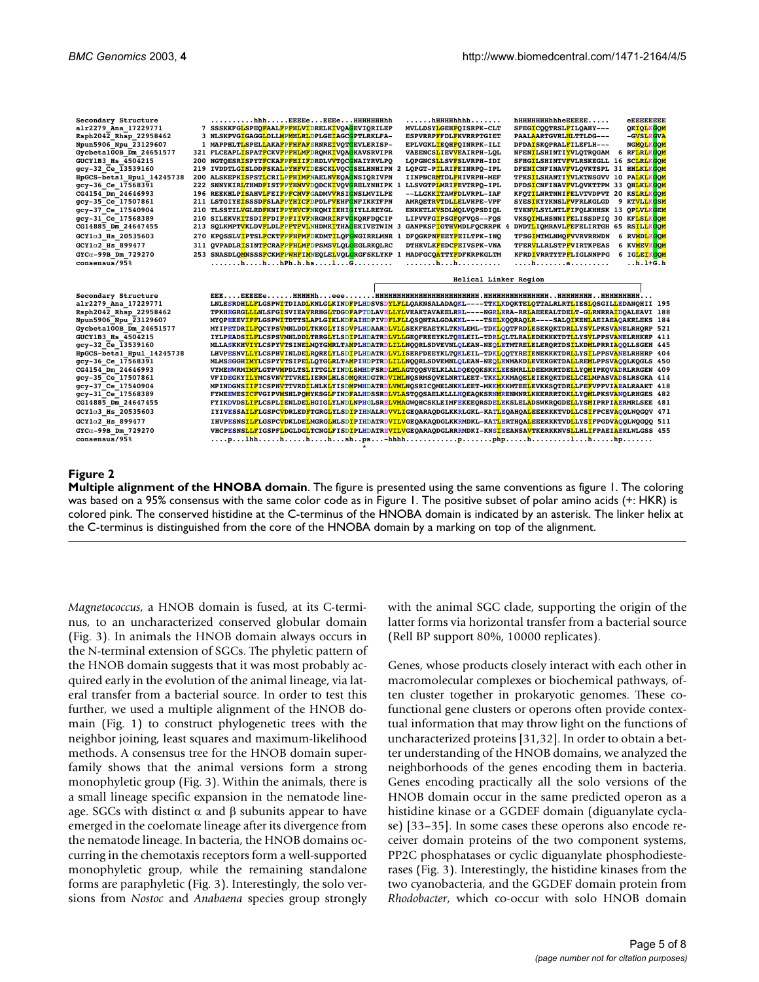<span id="page-4-0"></span>

| Secondary Structure                        | hhhEEEEeEEEeHHHHHHHhh                                                                                                        | hHHHHhhhh                                                                                                                                                                                                                                                                                                                                                                                                                                                                                                                                                                                                                   | <b>eEEEEEEEE</b><br>hHHHHHHHhhheEEEEE                                             |
|--------------------------------------------|------------------------------------------------------------------------------------------------------------------------------|-----------------------------------------------------------------------------------------------------------------------------------------------------------------------------------------------------------------------------------------------------------------------------------------------------------------------------------------------------------------------------------------------------------------------------------------------------------------------------------------------------------------------------------------------------------------------------------------------------------------------------|-----------------------------------------------------------------------------------|
| alr2279 Ana 17229771                       | 7 SSSKKFGLSPEOFAALFPFHLVIDRELKIVOAGEVIORILEP                                                                                 | <b>MVLLDSY<mark>L</mark>GEHFOISRPK-CLT</b>                                                                                                                                                                                                                                                                                                                                                                                                                                                                                                                                                                                  | <b>QE<mark>IQL</mark>KGOM</b><br>SFEGICOOTRSLFILOAHY---                           |
| Rsph2042 Rhsp 22958462                     | 3 NLSKPVG <mark>IGAGGLDLLMPMHLRL</mark> DPLGE <mark>IAGCG</mark> PTLRKLFA-                                                   | <b>ESPVRRPFFDLFKVRRPTGIET</b>                                                                                                                                                                                                                                                                                                                                                                                                                                                                                                                                                                                               | -G <mark>VSLRGVA</mark><br>PAALAARTGVRLHLTTLDG---                                 |
| Npun5906 Npu 23129607                      | 1 MAPPHLT <mark>L</mark> SPEL <mark>L</mark> AKA <mark>FPFHFAF</mark> SRNRE <mark>I</mark> VQT <mark>G</mark> EVLERISP-      | EPLVGKL <mark>I</mark> EQH <mark>F</mark> QINRPK-ILI                                                                                                                                                                                                                                                                                                                                                                                                                                                                                                                                                                        | NG <mark>MOLKGOM</mark><br>DFDA <mark>I</mark> SKQPRAL <mark>F</mark> ILEFLH---   |
| Gycbeta100B Dm 24651577                    | 321 FLCEAPL <mark>ISPATFCKVFPFHLMFDROMKIVOAG</mark> KAVSRVIPR                                                                | VAEENCSLIEVVEAIRPH-LOL                                                                                                                                                                                                                                                                                                                                                                                                                                                                                                                                                                                                      | 6 RF <mark>LRLKGOM</mark><br>NFENILSHINTIYVLOTROGAM                               |
| GUCY1B3 Hs $\overline{4}50\overline{4}215$ | 200 NGTOESR <mark>I</mark> SPYTFCKAFPFHIIFDRDLVVTOCGNAIYRVLPO                                                                | LOPGNCSLLSVFSLVRPH-IDI                                                                                                                                                                                                                                                                                                                                                                                                                                                                                                                                                                                                      | SFHG <mark>I</mark> LSHINTV <mark>F</mark> VLRSKEGLL 16 SC <mark>LRLKGOM</mark>   |
| qcy-32 Ce 13539160                         | 219 IVDDTLGISLDDFSKALPYHFVIDESCKLVOCGSELHNHIPN 2                                                                             | LOPGT-P <mark>I</mark> LRIFEINRPO-IPL                                                                                                                                                                                                                                                                                                                                                                                                                                                                                                                                                                                       | DFENICNFINAVFVLOVKTSPL 31 HH <mark>LKLKGOM</mark>                                 |
| HpGCS-betal Hpul 14245738                  | 200 ALSKEPKISPSTLCRILPFHIMFNAELNVEOAGNSIORIVPN                                                                               | IINPNCRMTDLFHIVRPH-MEF                                                                                                                                                                                                                                                                                                                                                                                                                                                                                                                                                                                                      | <b>TFKS<mark>I</mark>LSHANTI<mark>Y</mark>VLKTNSGVV 10 PA<mark>LKL</mark>KGOM</b> |
| $qcy-36$ Ce $17568391$                     | 222 SNNYKIR <mark>L</mark> THMD <mark>F</mark> IST <mark>FPYHMVV</mark> DQDCK <mark>I</mark> VQV <mark>G</mark> RELYNHIPK 1  | <b>LLSVGTP<mark>L</mark>MRIFEVTRPO-IPL</b>                                                                                                                                                                                                                                                                                                                                                                                                                                                                                                                                                                                  | DFDS <mark>I</mark> CNFINAV <mark>F</mark> VLQVKTTPM 33 QH <mark>LKLKGOM</mark>   |
| CG4154 Dm 24646993                         | 196 REEKHLPISAHVLFEIFPFCMVFGADMVVRSIGNSLMVILPE                                                                               | --LLGKKITAWFDLVRPL-IAF                                                                                                                                                                                                                                                                                                                                                                                                                                                                                                                                                                                                      | KFOT <mark>I</mark> LNRTNNI <mark>F</mark> ELVTVDPVT 20 KS <mark>LRLKGOM</mark>   |
| qcy-35 Ce 17507861                         | 211 LSTGIYE <mark>I</mark> SSSDFSLAFPYHICFDPDLFVEHFGNFIKKTFPN                                                                | <b>AMROETR<mark>V</mark>TDL<mark>L</mark>ELVHPE-VPF</b>                                                                                                                                                                                                                                                                                                                                                                                                                                                                                                                                                                     | 9 KT <mark>VLLKGSM</mark><br>SYES <mark>I</mark> KYYKNSL <mark>F</mark> VFRLKGLGD |
| gcy-37 Ce 17540904                         | TLSSTIL <mark>V</mark> GLRD <mark>F</mark> KNI <mark>FPYHVCF</mark> NKOMI <mark>I</mark> EHI <mark>G</mark> IYLLREYGL<br>210 | ENKKTLK <mark>V</mark> SDL <mark>M</mark> QLVQPSDIQL                                                                                                                                                                                                                                                                                                                                                                                                                                                                                                                                                                        | <b>TYKN<mark>V</mark>LSYLNTL<mark>F</mark>IFOLKHHSK 13 OP<mark>L</mark>VLKGEM</b> |
| qcy-31 Ce 17568389                         | 210 SILEKVK <mark>I</mark> TSDIFFDIFPFIIVFNRGMR <mark>I</mark> RFVGKQRFDQCIP                                                 | LIPVVFGIPSGFOFVOS--FOS                                                                                                                                                                                                                                                                                                                                                                                                                                                                                                                                                                                                      | VKSO <mark>I</mark> MLHSNNI <mark>F</mark> ELISSDPIQ 30 KF <mark>LSLKGOM</mark>   |
| CG14885 Dm 24647455                        | 213 SQLKMPT <mark>V</mark> KLDV <mark>F</mark> LDL <mark>FPFTFVL</mark> NHDMK <mark>I</mark> THA <mark>G</mark> EKIVETWIM 3  | GANPKSF <mark>I</mark> GTH <mark>V</mark> MDLFOCRRPK 4                                                                                                                                                                                                                                                                                                                                                                                                                                                                                                                                                                      | DWDT <mark>L</mark> IOMRAVL <mark>F</mark> EFELIRTGH 65 RS <mark>ILLKGOM</mark>   |
| $GCY1\alpha3$ Hs 20535603                  | 270 KPOSSLV <mark>I</mark> PTSL <mark>F</mark> CKT <mark>FPFHFMF</mark> DKDMT <mark>I</mark> LOF <mark>G</mark> NGIRRLMNR 1  | <b>DFOGKPN<mark>F</mark>EEY<mark>F</mark>EILTPK-INO</b>                                                                                                                                                                                                                                                                                                                                                                                                                                                                                                                                                                     | 6 RVMDLKGOM<br><b>TFSG<mark>I</mark>MTMLNMQ<mark>F</mark>VVRVRRWDN</b>            |
| $GCY1@2$ Hs 899477                         | 311 OVPADLRISINTFCRAFPFHLMFDPSMSVLOLGEGLRKOLRC                                                                               | DTHKVLKFEDCFEIVSPK-VNA                                                                                                                                                                                                                                                                                                                                                                                                                                                                                                                                                                                                      | 6 KVMEVKGOM<br><b>TFERVLLRLSTPFVIRTKPEAS</b>                                      |
| $GYC\alpha-99B$ Dm 729270                  | 253 SNASDLO <mark>M</mark> NSSS <mark>F</mark> CKM <mark>FPWHFIM</mark> NEOLE <mark>L</mark> VOL <mark>G</mark> RGFSKLYKP 1  | MADFGCOATTYFDFKRPKGLTM                                                                                                                                                                                                                                                                                                                                                                                                                                                                                                                                                                                                      | 6 IG <mark>LEIKGOM</mark><br>KFRDIVRRTYTPFLIGLNNPPG                               |
| consensus/95%                              | ,,hhhPh.h.h                                                                                                                  |                                                                                                                                                                                                                                                                                                                                                                                                                                                                                                                                                                                                                             | $h.1+G.h$<br>ha                                                                   |
|                                            |                                                                                                                              |                                                                                                                                                                                                                                                                                                                                                                                                                                                                                                                                                                                                                             |                                                                                   |
|                                            |                                                                                                                              | Helical Linker Region                                                                                                                                                                                                                                                                                                                                                                                                                                                                                                                                                                                                       |                                                                                   |
| Secondary Structure                        |                                                                                                                              | $EEEEEEEBeHHHHHheeeHHHHHHHHHHHHHHHHHHHHHHHHHHHHHHHHHHHHHHHHHHHHHHHHHHHHHHHHHHHHHHHHHHHHHHHHH$                                                                                                                                                                                                                                                                                                                                                                                                                                                                                                                               |                                                                                   |
| alr2279 Ana 17229771                       |                                                                                                                              | LNLESRDH <mark>LLF</mark> LGSPW <mark>I</mark> TDIAD <mark>L</mark> KNLG <mark>L</mark> KINDFPLHDSVSD <mark>YLFL</mark> LOAKNSALADAOKL----TTK <mark>L</mark> KDOKTE <mark>L</mark> OTTALRLRT <mark>L</mark> IESLOSGIL <mark>L</mark> EDANOHII 195                                                                                                                                                                                                                                                                                                                                                                           |                                                                                   |
| Rsph2042 Rhsp 22958462                     |                                                                                                                              | TPKHEGRG <mark>LLL</mark> NLSFG <mark>I</mark> SVIEA <mark>V</mark> RRHG <mark>L</mark> TDGD <mark>FAPTDLAVE<mark>LLYL</mark>VEAKTAVAEELRRL----NGR<mark>L</mark>ERA-RR<mark>L</mark>AEEEALTDE<mark>L</mark>T-G<mark>L</mark>RNRRA<mark>I</mark>DQALEAVI 188</mark>                                                                                                                                                                                                                                                                                                                                                          |                                                                                   |
| Npun5906 Npu 23129607                      |                                                                                                                              | MYQPEEEV <mark>IFF</mark> LGSPW <mark>I</mark> TDTTS <mark>L</mark> APLG <mark>I</mark> KLKD <mark>F</mark> AIHDPIVD <mark>FLFL</mark> LQSQNTALGDAKKL----TSE <mark>L</mark> KQQRAQ <mark>L</mark> R----SALQ <mark>I</mark> KENLAEIAEAQAKRLEKS 184                                                                                                                                                                                                                                                                                                                                                                           |                                                                                   |
| Gycbeta100B Dm 24651577                    |                                                                                                                              | MYIPETDR <mark>ILF</mark> QCYPS <mark>V</mark> MNLDD <mark>L</mark> TKKG <mark>L</mark> YISD <mark>V</mark> PLHDAARD <mark>LVLL</mark> SEKFEAEYKLTKNLEML-TDK <mark>L</mark> QQTFRD <mark>L</mark> ESEKQKTDR <mark>L</mark> LYS <mark>V</mark> LPKSV <mark>A</mark> NELRHQRP 521                                                                                                                                                                                                                                                                                                                                             |                                                                                   |
| GUCY1B3 Hs $\overline{4}50\overline{4}215$ |                                                                                                                              | IYLPEADS <mark>ILF</mark> LCSPS <mark>V</mark> MNLDD <mark>L</mark> TRRG <mark>L</mark> YLSD <mark>I</mark> PLHDATRD <mark>LVLLG</mark> EQFREEYKLTQELEIL-TDR <mark>L</mark> QLTLRA <mark>L</mark> EDEKKKTDT <mark>L</mark> LYS <mark>V</mark> LPPSV <mark>A</mark> NELRHKRP 411                                                                                                                                                                                                                                                                                                                                             |                                                                                   |
| $qcv-32$ Ce 13539160                       |                                                                                                                              | <u>MLLASKKH<mark>VIY</mark>LCSPY<mark>V</mark>TSINE<mark>L</mark>MQYG<mark>M</mark>RLTAMPLHDATRD<mark>LILL</mark>NQQRLSDVEVNLQLEAN-NEQ<mark>L</mark>ETMTRE<mark>L</mark>ELERQRTDS<mark>I</mark>LKD<mark>M</mark>LPRRI<mark>A</mark>QQLLSGEH 445</u>                                                                                                                                                                                                                                                                                                                                                                         |                                                                                   |
| HpGCS-betal Hpul 14245738                  |                                                                                                                              | LHVPESNV <mark>LLY</mark> LCSPH <mark>V</mark> INLDE <mark>L</mark> RQRE <mark>L</mark> YLSD <mark>I</mark> PLHDATRD <mark>LVLI</mark> SERFDEEYKLTQKLEIL-TDK <mark>L</mark> QQTYRE <mark>I</mark> ENEKKKTDR <mark>L</mark> LYS <mark>I</mark> LPPSVANELRHHRP 404                                                                                                                                                                                                                                                                                                                                                            |                                                                                   |
| $qcy-36$ Ce $17568391$                     |                                                                                                                              | <u>MLMSSGGH<mark>IMY</mark>LCSPY<mark>V</mark>TSIPE<mark>L</mark>LQYG<mark>L</mark>RLTA<mark>M</mark>PIHDPTRD<mark>LILL</mark>NQQRLSDVEMNLQLEAN-NEQ<mark>L</mark>ENMAKD<mark>L</mark>EVEKGKTDA<mark>L</mark>LREMLPPSV<mark>A</mark>QQLKQGLS 450</u>                                                                                                                                                                                                                                                                                                                                                                         |                                                                                   |
| CG4154 Dm 24646993                         |                                                                                                                              | VYMENWRM <mark>IMF</mark> LGTPV <mark>M</mark> PDLTS <mark>L</mark> ITTG <mark>L</mark> YIND <mark>LSMHDFSRDLMLA</mark> GTQOSVELKLALDQEQQKSKKLEESMRL <mark>L</mark> DEEMRRTDE <mark>L</mark> LYQMIPKQVADRLRRGEN 409                                                                                                                                                                                                                                                                                                                                                                                                         |                                                                                   |
| qcy-35 Ce 17507861                         |                                                                                                                              | VFIDEGKY <mark>ILY</mark> MCSVN <mark>V</mark> TTVRE <mark>L</mark> IERN <mark>L</mark> HLSD <mark>MORHDGTRDVIML</mark> NOSRMSQVELNRTLEET-TKK <mark>L</mark> KKMAOE <mark>L</mark> EIEKOKTDE <mark>L</mark> LCE <mark>L</mark> MPASVADSLRSGKA 414                                                                                                                                                                                                                                                                                                                                                                           |                                                                                   |
| qcy-37 Ce 17540904                         |                                                                                                                              | MPINDGNS <mark>IIF</mark> ICSPH <mark>V</mark> TTVRD <mark>I</mark> LNLK <mark>L</mark> YISD <mark>MPMHDATRDLVML</mark> NQSRICQMELNKKLEET-MKK <mark>M</mark> KKMTEE <mark>L</mark> EVKKSQTDR <mark>L</mark> LFE <mark>F</mark> VPPVI <mark>A</mark> EALRAAKT 418                                                                                                                                                                                                                                                                                                                                                            |                                                                                   |
| gcy-31 Ce 17568389                         |                                                                                                                              | FYMEEWES <mark>ICF</mark> VGIPV <mark>M</mark> SHLPOMYKSG <mark>L</mark> FIND <mark>F</mark> ALHDSSRD <mark>LVLA</mark> STOOSAELKLLLHOEAOKSRNMRENMNR <mark>L</mark> KKERRRTDK <mark>L</mark> LYOMLPKSVANOLRHGES 482                                                                                                                                                                                                                                                                                                                                                                                                         |                                                                                   |
| CG14885 Dm 24647455                        |                                                                                                                              | FYIKDVDS <mark>LIF</mark> LCSPL <mark>I</mark> ENLDE <mark>L</mark> HGIG <mark>L</mark> YLND <mark>L</mark> NPHGLSRE <mark>LVMA</mark> GWQHCSKLEIMFEKEEQRSDE <mark>L</mark> EKSLEL <mark>A</mark> DSWKRQGDE <mark>L</mark> LYS <mark>M</mark> IPRPI <mark>A</mark> ERMRLSEE 481                                                                                                                                                                                                                                                                                                                                             |                                                                                   |
| $GCY1\alpha3$ Hs 20535603                  |                                                                                                                              | IYIVESSA <mark>ILF</mark> LGSPC <mark>V</mark> DRLEDFTGRG <mark>L</mark> YLSD <mark>I</mark> PI <del>HNA</del> LRD <mark>VVLI</mark> GEQARAQDGLKKRLGKL-KATLEQAHQA <mark>L</mark> EEEKKKTVD <mark>L</mark> LCS <mark>I</mark> FPCEVAQQLWQGQV 471                                                                                                                                                                                                                                                                                                                                                                             |                                                                                   |
| $GCY1@2$ Hs 899477                         |                                                                                                                              |                                                                                                                                                                                                                                                                                                                                                                                                                                                                                                                                                                                                                             |                                                                                   |
|                                            |                                                                                                                              | IHVPESNS <mark>ILF</mark> LGSPC <mark>V</mark> DKLDE <mark>L</mark> MGRG <mark>L</mark> HLSD <mark>I</mark> PIHDATRD <mark>VILV</mark> GEQAKAQDGLKKRMDKL-KATLERTHQA <mark>L</mark> EEEKKKTVD <mark>L</mark> LYS <mark>I</mark> FPGDVAQQLWQGQQ 511                                                                                                                                                                                                                                                                                                                                                                           |                                                                                   |
| $GXC0 - 99B$ Dm 729270                     |                                                                                                                              |                                                                                                                                                                                                                                                                                                                                                                                                                                                                                                                                                                                                                             |                                                                                   |
| consensus/95%                              |                                                                                                                              | VHCPESNS <mark>LLF</mark> IGSPF <mark>L</mark> DGLDG <mark>L</mark> TCNG <mark>L</mark> FISD <mark>I</mark> PLHDATRE <mark>VILV</mark> GEQARAQDGLRRRMDKI-KNS <mark>I</mark> EEANSA <mark>V</mark> TKERKKNVS <mark>L</mark> LHL <mark>I</mark> FPAEI <mark>A</mark> EKLWLGSS 455<br>$\ldots$ , p. $\ldots$ , lhh, $\ldots$ , h, $\ldots$ , h, $\ldots$ , sh, $\ldots$ , ps. $\ldots$ , hhhh, $\ldots$ , $\ldots$ , p. $\ldots$ , $\ldots$ , h, $\ldots$ , $\ldots$ , $\ldots$ , $\ldots$ , $\ldots$ , $\ldots$ , $\ldots$ , $\ldots$ , $\ldots$ , $\ldots$ , $\ldots$ , $\ldots$ , $\ldots$ , $\ldots$ , $\ldots$ , $\ldots$ |                                                                                   |
|                                            |                                                                                                                              |                                                                                                                                                                                                                                                                                                                                                                                                                                                                                                                                                                                                                             |                                                                                   |

#### **Figure 2**

**Multiple alignment of the HNOBA domain**. The figure is presented using the same conventions as figure [1.](#page-3-0) The coloring was based on a 95% consensus with the same color code as in Figure [1.](#page-3-0) The positive subset of polar amino acids (+: HKR) is colored pink. The conserved histidine at the C-terminus of the HNOBA domain is indicated by an asterisk. The linker helix at the C-terminus is distinguished from the core of the HNOBA domain by a marking on top of the alignment.

*Magnetococcus*, a HNOB domain is fused, at its C-terminus, to an uncharacterized conserved globular domain (Fig. 3). In animals the HNOB domain always occurs in the N-terminal extension of SGCs. The phyletic pattern of the HNOB domain suggests that it was most probably acquired early in the evolution of the animal lineage, via lateral transfer from a bacterial source. In order to test this further, we used a multiple alignment of the HNOB domain (Fig. [1\)](#page-3-0) to construct phylogenetic trees with the neighbor joining, least squares and maximum-likelihood methods. A consensus tree for the HNOB domain superfamily shows that the animal versions form a strong monophyletic group (Fig. 3). Within the animals, there is a small lineage specific expansion in the nematode lineage. SGCs with distinct  $\alpha$  and  $\beta$  subunits appear to have emerged in the coelomate lineage after its divergence from the nematode lineage. In bacteria, the HNOB domains occurring in the chemotaxis receptors form a well-supported monophyletic group, while the remaining standalone forms are paraphyletic (Fig. 3). Interestingly, the solo versions from *Nostoc* and *Anabaena* species group strongly

with the animal SGC clade, supporting the origin of the latter forms via horizontal transfer from a bacterial source (Rell BP support 80%, 10000 replicates).

Genes, whose products closely interact with each other in macromolecular complexes or biochemical pathways, often cluster together in prokaryotic genomes. These cofunctional gene clusters or operons often provide contextual information that may throw light on the functions of uncharacterized proteins [31,32]. In order to obtain a better understanding of the HNOB domains, we analyzed the neighborhoods of the genes encoding them in bacteria. Genes encoding practically all the solo versions of the HNOB domain occur in the same predicted operon as a histidine kinase or a GGDEF domain (diguanylate cyclase) [33–35]. In some cases these operons also encode receiver domain proteins of the two component systems, PP2C phosphatases or cyclic diguanylate phosphodiesterases (Fig. 3). Interestingly, the histidine kinases from the two cyanobacteria, and the GGDEF domain protein from *Rhodobacter*, which co-occur with solo HNOB domain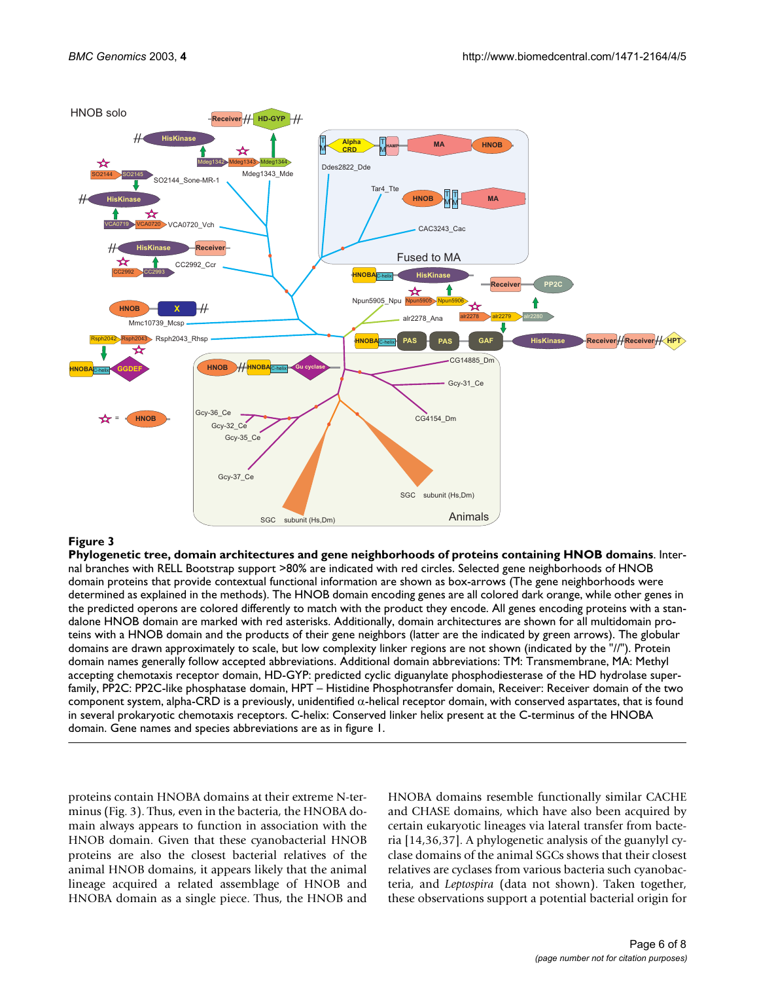

#### **Figure 3**

**Phylogenetic tree, domain architectures and gene neighborhoods of proteins containing HNOB domains**. Internal branches with RELL Bootstrap support >80% are indicated with red circles. Selected gene neighborhoods of HNOB domain proteins that provide contextual functional information are shown as box-arrows (The gene neighborhoods were determined as explained in the methods). The HNOB domain encoding genes are all colored dark orange, while other genes in the predicted operons are colored differently to match with the product they encode. All genes encoding proteins with a standalone HNOB domain are marked with red asterisks. Additionally, domain architectures are shown for all multidomain proteins with a HNOB domain and the products of their gene neighbors (latter are the indicated by green arrows). The globular domains are drawn approximately to scale, but low complexity linker regions are not shown (indicated by the "//"). Protein domain names generally follow accepted abbreviations. Additional domain abbreviations: TM: Transmembrane, MA: Methyl accepting chemotaxis receptor domain, HD-GYP: predicted cyclic diguanylate phosphodiesterase of the HD hydrolase superfamily, PP2C: PP2C-like phosphatase domain, HPT – Histidine Phosphotransfer domain, Receiver: Receiver domain of the two component system, alpha-CRD is a previously, unidentified  $\alpha$ -helical receptor domain, with conserved aspartates, that is found in several prokaryotic chemotaxis receptors. C-helix: Conserved linker helix present at the C-terminus of the HNOBA domain. Gene names and species abbreviations are as in figure [1.](#page-3-0)

proteins contain HNOBA domains at their extreme N-terminus (Fig. 3). Thus, even in the bacteria, the HNOBA domain always appears to function in association with the HNOB domain. Given that these cyanobacterial HNOB proteins are also the closest bacterial relatives of the animal HNOB domains, it appears likely that the animal lineage acquired a related assemblage of HNOB and HNOBA domain as a single piece. Thus, the HNOB and HNOBA domains resemble functionally similar CACHE and CHASE domains, which have also been acquired by certain eukaryotic lineages via lateral transfer from bacteria [14,36,37]. A phylogenetic analysis of the guanylyl cyclase domains of the animal SGCs shows that their closest relatives are cyclases from various bacteria such cyanobacteria, and *Leptospira* (data not shown). Taken together, these observations support a potential bacterial origin for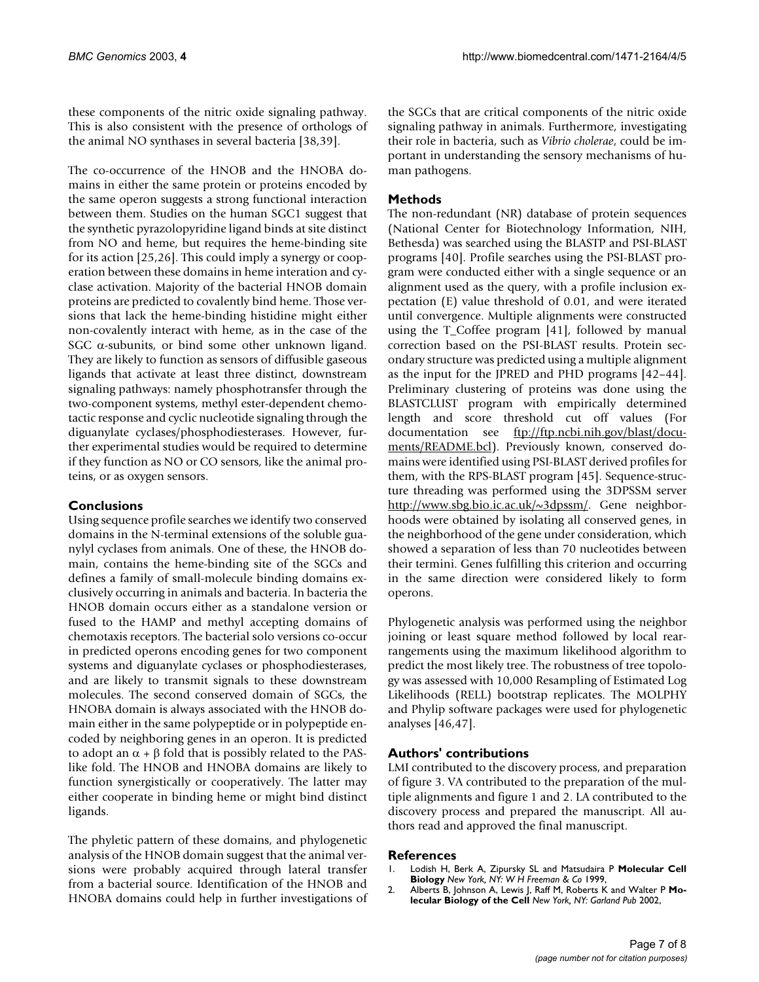these components of the nitric oxide signaling pathway. This is also consistent with the presence of orthologs of the animal NO synthases in several bacteria [38,39].

The co-occurrence of the HNOB and the HNOBA domains in either the same protein or proteins encoded by the same operon suggests a strong functional interaction between them. Studies on the human SGC1 suggest that the synthetic pyrazolopyridine ligand binds at site distinct from NO and heme, but requires the heme-binding site for its action [25,26]. This could imply a synergy or cooperation between these domains in heme interation and cyclase activation. Majority of the bacterial HNOB domain proteins are predicted to covalently bind heme. Those versions that lack the heme-binding histidine might either non-covalently interact with heme, as in the case of the SGC  $\alpha$ -subunits, or bind some other unknown ligand. They are likely to function as sensors of diffusible gaseous ligands that activate at least three distinct, downstream signaling pathways: namely phosphotransfer through the two-component systems, methyl ester-dependent chemotactic response and cyclic nucleotide signaling through the diguanylate cyclases/phosphodiesterases. However, further experimental studies would be required to determine if they function as NO or CO sensors, like the animal proteins, or as oxygen sensors.

## **Conclusions**

Using sequence profile searches we identify two conserved domains in the N-terminal extensions of the soluble guanylyl cyclases from animals. One of these, the HNOB domain, contains the heme-binding site of the SGCs and defines a family of small-molecule binding domains exclusively occurring in animals and bacteria. In bacteria the HNOB domain occurs either as a standalone version or fused to the HAMP and methyl accepting domains of chemotaxis receptors. The bacterial solo versions co-occur in predicted operons encoding genes for two component systems and diguanylate cyclases or phosphodiesterases, and are likely to transmit signals to these downstream molecules. The second conserved domain of SGCs, the HNOBA domain is always associated with the HNOB domain either in the same polypeptide or in polypeptide encoded by neighboring genes in an operon. It is predicted to adopt an α + β fold that is possibly related to the PASlike fold. The HNOB and HNOBA domains are likely to function synergistically or cooperatively. The latter may either cooperate in binding heme or might bind distinct ligands.

The phyletic pattern of these domains, and phylogenetic analysis of the HNOB domain suggest that the animal versions were probably acquired through lateral transfer from a bacterial source. Identification of the HNOB and HNOBA domains could help in further investigations of the SGCs that are critical components of the nitric oxide signaling pathway in animals. Furthermore, investigating their role in bacteria, such as *Vibrio cholerae*, could be important in understanding the sensory mechanisms of human pathogens.

## **Methods**

The non-redundant (NR) database of protein sequences (National Center for Biotechnology Information, NIH, Bethesda) was searched using the BLASTP and PSI-BLAST programs [40]. Profile searches using the PSI-BLAST program were conducted either with a single sequence or an alignment used as the query, with a profile inclusion expectation (E) value threshold of 0.01, and were iterated until convergence. Multiple alignments were constructed using the T\_Coffee program [41], followed by manual correction based on the PSI-BLAST results. Protein secondary structure was predicted using a multiple alignment as the input for the JPRED and PHD programs [42–44]. Preliminary clustering of proteins was done using the BLASTCLUST program with empirically determined length and score threshold cut off values (For documentation see [ftp://ftp.ncbi.nih.gov/blast/docu](ftp://ftp.ncbi.nih.gov/blast/documents/README.bcl)[ments/README.bcl\)](ftp://ftp.ncbi.nih.gov/blast/documents/README.bcl). Previously known, conserved domains were identified using PSI-BLAST derived profiles for them, with the RPS-BLAST program [45]. Sequence-structure threading was performed using the 3DPSSM server [http://www.sbg.bio.ic.ac.uk/~3dpssm/.](http://www.sbg.bio.ic.ac.uk/~3dpssm/) Gene neighborhoods were obtained by isolating all conserved genes, in the neighborhood of the gene under consideration, which showed a separation of less than 70 nucleotides between their termini. Genes fulfilling this criterion and occurring in the same direction were considered likely to form operons.

Phylogenetic analysis was performed using the neighbor joining or least square method followed by local rearrangements using the maximum likelihood algorithm to predict the most likely tree. The robustness of tree topology was assessed with 10,000 Resampling of Estimated Log Likelihoods (RELL) bootstrap replicates. The MOLPHY and Phylip software packages were used for phylogenetic analyses [46,47].

## **Authors' contributions**

LMI contributed to the discovery process, and preparation of figure 3. VA contributed to the preparation of the multiple alignments and figure [1](#page-3-0) and [2.](#page-4-0) LA contributed to the discovery process and prepared the manuscript. All authors read and approved the final manuscript.

#### **References**

- 1. Lodish H, Berk A, Zipursky SL and Matsudaira P **Molecular Cell Biology** *New York, NY: W H Freeman & Co* 1999,
- 2. Alberts B, Johnson A, Lewis J, Raff M, Roberts K and Walter P **Molecular Biology of the Cell** *New York, NY: Garland Pub* 2002,